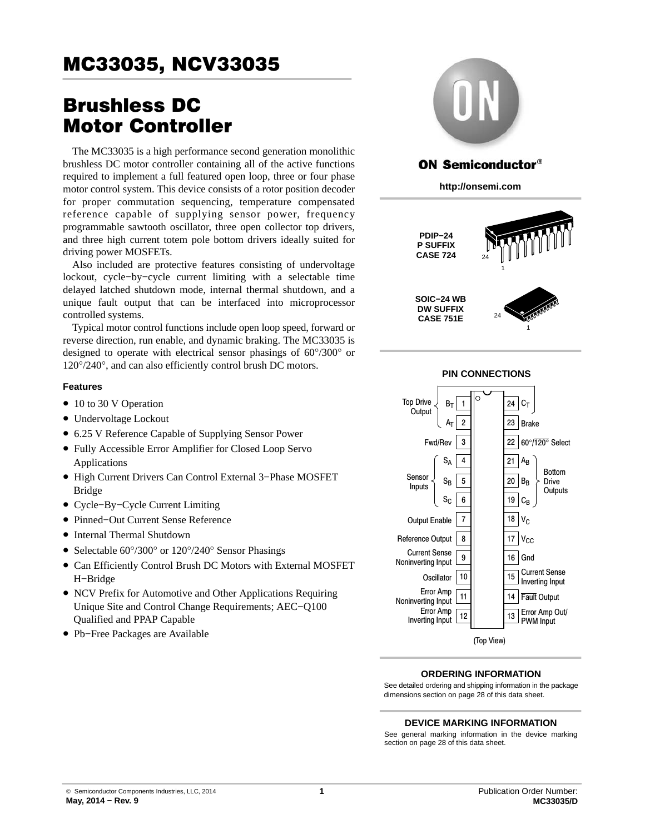# Brushless DC Motor Controller

The MC33035 is a high performance second generation monolithic brushless DC motor controller containing all of the active functions required to implement a full featured open loop, three or four phase motor control system. This device consists of a rotor position decoder for proper commutation sequencing, temperature compensated reference capable of supplying sensor power, frequency programmable sawtooth oscillator, three open collector top drivers, and three high current totem pole bottom drivers ideally suited for driving power MOSFETs.

Also included are protective features consisting of undervoltage lockout, cycle−by−cycle current limiting with a selectable time delayed latched shutdown mode, internal thermal shutdown, and a unique fault output that can be interfaced into microprocessor controlled systems.

Typical motor control functions include open loop speed, forward or reverse direction, run enable, and dynamic braking. The MC33035 is designed to operate with electrical sensor phasings of 60°/300° or 120°/240°, and can also efficiently control brush DC motors.

#### **Features**

- 10 to 30 V Operation
- Undervoltage Lockout
- 6.25 V Reference Capable of Supplying Sensor Power
- Fully Accessible Error Amplifier for Closed Loop Servo Applications
- High Current Drivers Can Control External 3−Phase MOSFET Bridge
- Cycle−By−Cycle Current Limiting
- Pinned−Out Current Sense Reference
- Internal Thermal Shutdown
- Selectable 60°/300° or 120°/240° Sensor Phasings
- Can Efficiently Control Brush DC Motors with External MOSFET H−Bridge
- NCV Prefix for Automotive and Other Applications Requiring Unique Site and Control Change Requirements; AEC−Q100 Qualified and PPAP Capable
- Pb−Free Packages are Available



## **ON Semiconductor®**

**http://onsemi.com**





### **PIN CONNECTIONS**

**ORDERING INFORMATION**

See detailed ordering and shipping information in the package dimensions section on page [28](#page-27-0) of this data sheet.

#### **DEVICE MARKING INFORMATION**

See general marking information in the device marking section on page [28](#page-27-0) of this data sheet.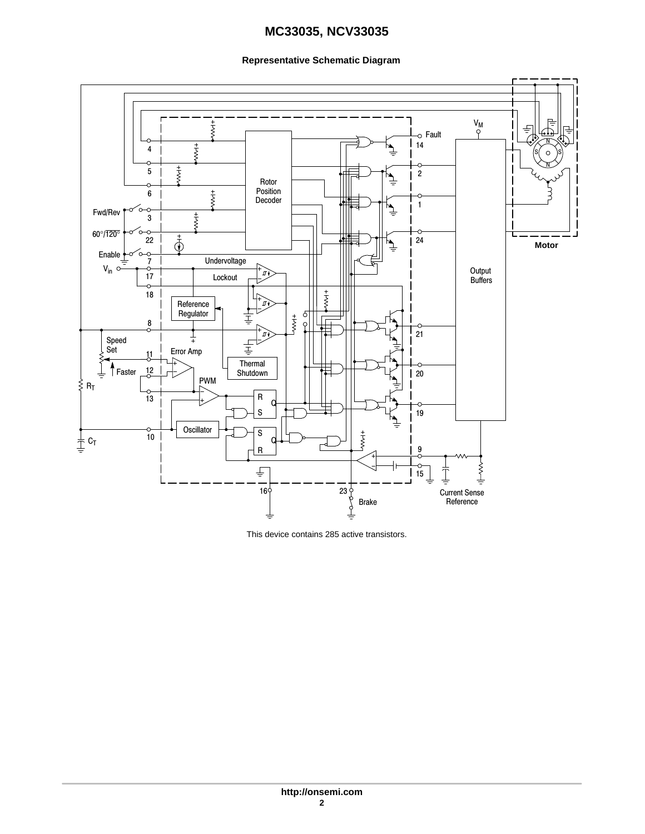#### **Representative Schematic Diagram**



This device contains 285 active transistors.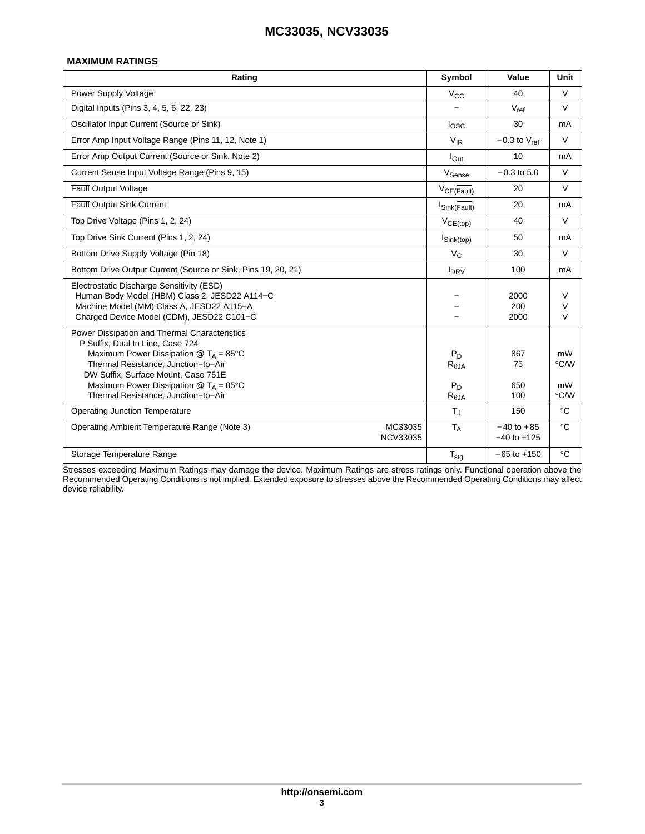#### **MAXIMUM RATINGS**

| Rating                                                                                                                                                                                                                                                                                                                        | Symbol                                               | Value                             | Unit                     |
|-------------------------------------------------------------------------------------------------------------------------------------------------------------------------------------------------------------------------------------------------------------------------------------------------------------------------------|------------------------------------------------------|-----------------------------------|--------------------------|
| Power Supply Voltage                                                                                                                                                                                                                                                                                                          | $V_{CC}$                                             | 40                                | $\vee$                   |
| Digital Inputs (Pins 3, 4, 5, 6, 22, 23)                                                                                                                                                                                                                                                                                      |                                                      | $V_{ref}$                         | $\vee$                   |
| Oscillator Input Current (Source or Sink)                                                                                                                                                                                                                                                                                     | I <sub>osc</sub>                                     | 30                                | mA                       |
| Error Amp Input Voltage Range (Pins 11, 12, Note 1)                                                                                                                                                                                                                                                                           | $V_{IR}$                                             | $-0.3$ to $V_{ref}$               | $\vee$                   |
| Error Amp Output Current (Source or Sink, Note 2)                                                                                                                                                                                                                                                                             | $I_{Out}$                                            | 10                                | mA                       |
| Current Sense Input Voltage Range (Pins 9, 15)                                                                                                                                                                                                                                                                                | V <sub>Sense</sub>                                   | $-0.3$ to 5.0                     | $\vee$                   |
| <b>Fault Output Voltage</b>                                                                                                                                                                                                                                                                                                   | VCE(Fault)                                           | 20                                | $\vee$                   |
| <b>Fault Output Sink Current</b>                                                                                                                                                                                                                                                                                              | Sink(Fault)                                          | 20                                | mA                       |
| Top Drive Voltage (Pins 1, 2, 24)                                                                                                                                                                                                                                                                                             | $V_{CE(top)}$                                        | 40                                | V                        |
| Top Drive Sink Current (Pins 1, 2, 24)                                                                                                                                                                                                                                                                                        | $I_{\text{Sink}(\text{top})}$                        | 50                                | mA                       |
| Bottom Drive Supply Voltage (Pin 18)                                                                                                                                                                                                                                                                                          | $V_C$                                                | 30                                | $\vee$                   |
| Bottom Drive Output Current (Source or Sink, Pins 19, 20, 21)                                                                                                                                                                                                                                                                 | $I_{DRV}$                                            | 100                               | mA                       |
| Electrostatic Discharge Sensitivity (ESD)<br>Human Body Model (HBM) Class 2, JESD22 A114-C<br>Machine Model (MM) Class A, JESD22 A115-A<br>Charged Device Model (CDM), JESD22 C101-C                                                                                                                                          |                                                      | 2000<br>200<br>2000               | V<br>$\vee$<br>$\vee$    |
| Power Dissipation and Thermal Characteristics<br>P Suffix, Dual In Line, Case 724<br>Maximum Power Dissipation $@T_A = 85^{\circ}C$<br>Thermal Resistance, Junction-to-Air<br>DW Suffix, Surface Mount, Case 751E<br>Maximum Power Dissipation $\textcircled{a}$ T <sub>A</sub> = 85°C<br>Thermal Resistance, Junction-to-Air | $P_D$<br>$R_{\theta,JA}$<br>$P_D$<br>$R_{\theta JA}$ | 867<br>75<br>650<br>100           | mW<br>°C/W<br>mW<br>°C/W |
| <b>Operating Junction Temperature</b>                                                                                                                                                                                                                                                                                         | $T_{\rm J}$                                          | 150                               | $\rm ^{\circ}C$          |
| Operating Ambient Temperature Range (Note 3)<br>MC33035<br><b>NCV33035</b>                                                                                                                                                                                                                                                    | $T_A$                                                | $-40$ to $+85$<br>$-40$ to $+125$ | $\rm ^{\circ}C$          |
| Storage Temperature Range                                                                                                                                                                                                                                                                                                     | $T_{\text{stg}}$                                     | $-65$ to $+150$                   | $\rm ^{\circ}C$          |

Stresses exceeding Maximum Ratings may damage the device. Maximum Ratings are stress ratings only. Functional operation above the Recommended Operating Conditions is not implied. Extended exposure to stresses above the Recommended Operating Conditions may affect device reliability.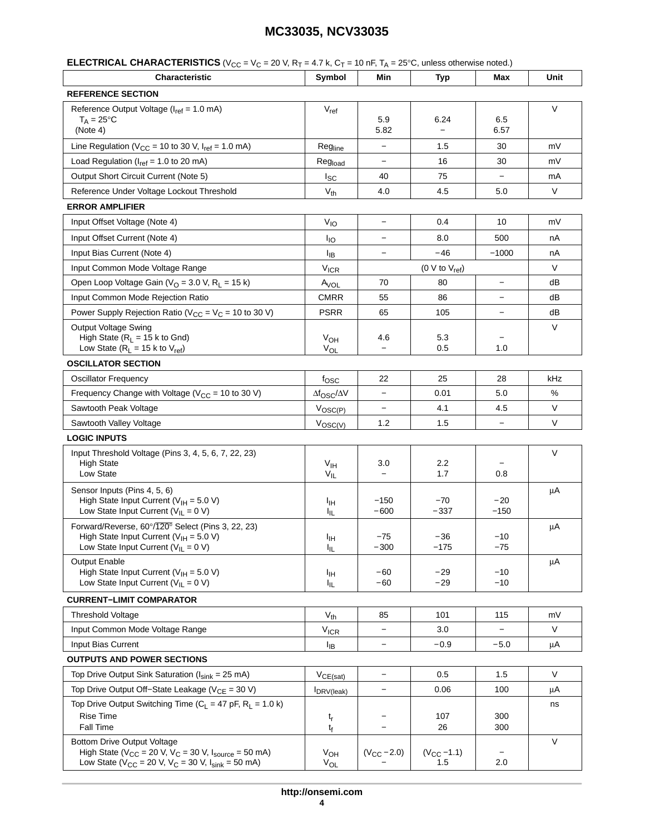| <b>Characteristic</b>                                                                                                                                                     | Symbol                        | Min                             | <b>Typ</b>                | Max                      | Unit    |
|---------------------------------------------------------------------------------------------------------------------------------------------------------------------------|-------------------------------|---------------------------------|---------------------------|--------------------------|---------|
| <b>REFERENCE SECTION</b>                                                                                                                                                  |                               |                                 |                           |                          |         |
| Reference Output Voltage (I <sub>ref</sub> = 1.0 mA)<br>$T_A = 25^{\circ}C$<br>(Note 4)                                                                                   | $V_{ref}$                     | 5.9<br>5.82                     | 6.24<br>$\qquad \qquad -$ | 6.5<br>6.57              | $\vee$  |
| Line Regulation ( $V_{CC}$ = 10 to 30 V, $I_{ref}$ = 1.0 mA)                                                                                                              | Regline                       |                                 | 1.5                       | 30                       | mV      |
| Load Regulation ( $I_{ref}$ = 1.0 to 20 mA)                                                                                                                               | Reg <sub>load</sub>           | $\qquad \qquad -$               | 16                        | 30                       | mV      |
| Output Short Circuit Current (Note 5)                                                                                                                                     | $I_{SC}$                      | 40                              | 75                        | $\overline{\phantom{0}}$ | mA      |
| Reference Under Voltage Lockout Threshold                                                                                                                                 | $V_{th}$                      | 4.0                             | 4.5                       | 5.0                      | V       |
| <b>ERROR AMPLIFIER</b>                                                                                                                                                    |                               |                                 |                           |                          |         |
| Input Offset Voltage (Note 4)                                                                                                                                             | V <sub>IO</sub>               |                                 | 0.4                       | 10                       | mV      |
| Input Offset Current (Note 4)                                                                                                                                             | $I_{IO}$                      | $\qquad \qquad -$               | 8.0                       | 500                      | nA      |
| Input Bias Current (Note 4)                                                                                                                                               | ŀıв                           |                                 | $-46$                     | $-1000$                  | nA      |
| Input Common Mode Voltage Range                                                                                                                                           | <b>V<sub>ICR</sub></b>        |                                 | $(0 \vee to V_{ref})$     |                          | V       |
| Open Loop Voltage Gain ( $VO$ = 3.0 V, R <sub>1</sub> = 15 k)                                                                                                             | A <sub>VOL</sub>              | 70                              | 80                        | $\qquad \qquad -$        | dB      |
| Input Common Mode Rejection Ratio                                                                                                                                         | <b>CMRR</b>                   | 55                              | 86                        | $\overline{\phantom{0}}$ | dB      |
| Power Supply Rejection Ratio ( $V_{CC} = V_C = 10$ to 30 V)                                                                                                               | <b>PSRR</b>                   | 65                              | 105                       | $\overline{\phantom{0}}$ | dB      |
| <b>Output Voltage Swing</b><br>High State ( $R_L$ = 15 k to Gnd)<br>Low State ( $R_L$ = 15 k to $V_{ref}$ )                                                               | $V_{OH}$<br>VOL               | 4.6                             | 5.3<br>0.5                | 1.0                      | $\vee$  |
| <b>OSCILLATOR SECTION</b>                                                                                                                                                 |                               |                                 |                           |                          |         |
| <b>Oscillator Frequency</b>                                                                                                                                               | fosc                          | 22                              | 25                        | 28                       | kHz     |
| Frequency Change with Voltage ( $V_{CC}$ = 10 to 30 V)                                                                                                                    | $\Delta f_{\rm OSC}/\Delta V$ |                                 | 0.01                      | 5.0                      | %       |
| Sawtooth Peak Voltage                                                                                                                                                     | $V_{\text{OSC}(P)}$           | $\overline{\phantom{a}}$        | 4.1                       | 4.5                      | V       |
| Sawtooth Valley Voltage                                                                                                                                                   | $V_{\text{OSC}(V)}$           | 1.2                             | 1.5                       | $\overline{\phantom{0}}$ | V       |
| <b>LOGIC INPUTS</b>                                                                                                                                                       |                               |                                 |                           |                          |         |
| Input Threshold Voltage (Pins 3, 4, 5, 6, 7, 22, 23)<br><b>High State</b><br>Low State                                                                                    | $V_{\text{IH}}$<br>$V_{IL}$   | 3.0<br>$\overline{\phantom{0}}$ | 2.2<br>1.7                | 0.8                      | $\vee$  |
| Sensor Inputs (Pins 4, 5, 6)<br>High State Input Current ( $V_{\text{IH}} = 5.0 V$ )<br>Low State Input Current ( $V_{IL} = 0 V$ )                                        | Iщ<br>ŀμ                      | $-150$<br>$-600$                | $-70$<br>$-337$           | $-20$<br>$-150$          | μA      |
| Forward/Reverse, 60°/120° Select (Pins 3, 22, 23)<br>High State Input Current ( $V_{\text{IH}} = 5.0 \text{ V}$ )<br>Low State Input Current ( $V_{IL} = 0 V$ )           | Iін<br>կե                     | $-75$<br>$-300$                 | $-36$<br>$-175$           | $-10$<br>$-75$           | μA      |
| <b>Output Enable</b><br>High State Input Current ( $V_{\text{IH}}$ = 5.0 V)<br>Low State Input Current ( $V_{IL} = 0 V$ )                                                 | Ιщ<br>址                       | -60<br>$-60$                    | -29<br>$-29$              | $-10$<br>$-10$           | $\mu A$ |
| <b>CURRENT-LIMIT COMPARATOR</b>                                                                                                                                           |                               |                                 |                           |                          |         |
| <b>Threshold Voltage</b>                                                                                                                                                  | $V_{th}$                      | 85                              | 101                       | 115                      | mV      |
| Input Common Mode Voltage Range                                                                                                                                           | $V_{ICR}$                     | $\overline{\phantom{a}}$        | 3.0                       |                          | V       |
| Input Bias Current                                                                                                                                                        | <sup>I</sup> IB               |                                 | $-0.9$                    | $-5.0$                   | μA      |
| <b>OUTPUTS AND POWER SECTIONS</b>                                                                                                                                         |                               |                                 |                           |                          |         |
| Top Drive Output Sink Saturation ( $I_{sink} = 25$ mA)                                                                                                                    | $V_{CE(sat)}$                 | $\overline{\phantom{a}}$        | 0.5                       | 1.5                      | V       |
| Top Drive Output Off-State Leakage ( $V_{CE}$ = 30 V)                                                                                                                     | IDRV(leak)                    |                                 | 0.06                      | 100                      | μA      |
| Top Drive Output Switching Time ( $C_L$ = 47 pF, R <sub>L</sub> = 1.0 k)<br><b>Rise Time</b><br>Fall Time                                                                 | t <sub>r</sub><br>$t_{\rm f}$ |                                 | 107<br>26                 | 300<br>300               | ns      |
| <b>Bottom Drive Output Voltage</b><br>High State ( $V_{CC}$ = 20 V, $V_C$ = 30 V, $I_{source}$ = 50 mA)<br>Low State ( $V_{CC}$ = 20 V, $V_C$ = 30 V, $I_{sink}$ = 50 mA) | $V_{OH}$<br>$V_{OL}$          | $(V_{CC} - 2.0)$                | $(V_{CC} - 1.1)$<br>1.5   | 2.0                      | V       |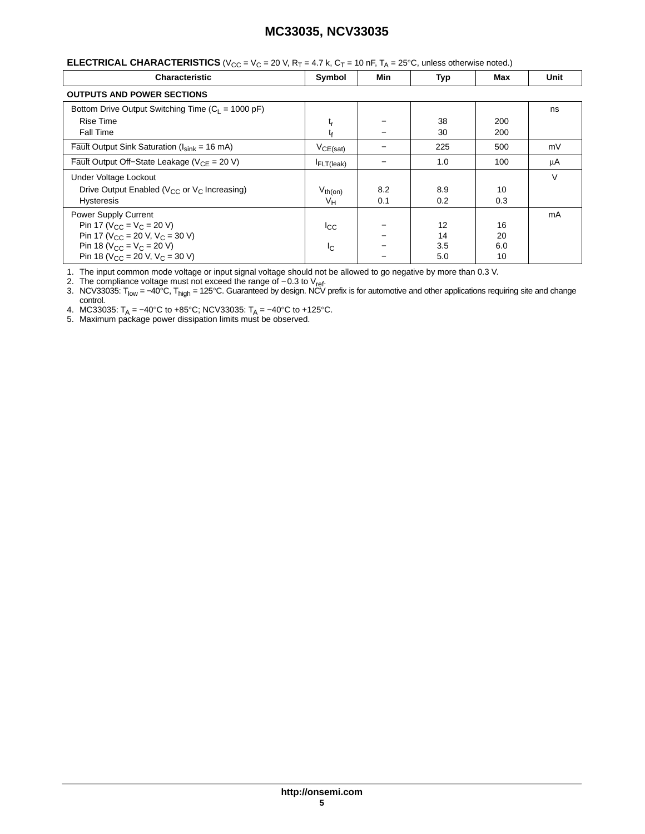<span id="page-4-0"></span>

| <b>ELECTRICAL CHARACTERISTICS</b> ( $V_{CC} = V_C = 20$ V, R <sub>T</sub> = 4.7 k, C <sub>T</sub> = 10 nF, T <sub>A</sub> = 25°C, unless otherwise noted.) |
|------------------------------------------------------------------------------------------------------------------------------------------------------------|
|                                                                                                                                                            |

| <b>Characteristic</b>                                          | Symbol                      | Min | Typ | Max | Unit |
|----------------------------------------------------------------|-----------------------------|-----|-----|-----|------|
| <b>OUTPUTS AND POWER SECTIONS</b>                              |                             |     |     |     |      |
| Bottom Drive Output Switching Time ( $C_1 = 1000 \text{ pF}$ ) |                             |     |     |     | ns   |
| Rise Time                                                      | $\mathfrak{t}_{\mathsf{r}}$ |     | 38  | 200 |      |
| <b>Fall Time</b>                                               | t                           |     | 30  | 200 |      |
| Fault Output Sink Saturation ( $I_{sink}$ = 16 mA)             | $V_{CE(sat)}$               |     | 225 | 500 | mV   |
| Fault Output Off-State Leakage ( $V_{CE}$ = 20 V)              | <b>FLT</b> (leak)           |     | 1.0 | 100 | μA   |
| Under Voltage Lockout                                          |                             |     |     |     | V    |
| Drive Output Enabled ( $V_{CC}$ or $V_C$ Increasing)           | $V_{th(on)}$                | 8.2 | 8.9 | 10  |      |
| <b>Hysteresis</b>                                              | V <sub>H</sub>              | 0.1 | 0.2 | 0.3 |      |
| <b>Power Supply Current</b>                                    |                             |     |     |     | mA   |
| Pin 17 ( $V_{CC}$ = $V_C$ = 20 V)                              | $_{\rm{lcc}}$               |     | 12  | 16  |      |
| Pin 17 ( $V_{CC}$ = 20 V, $V_C$ = 30 V)                        |                             |     | 14  | 20  |      |
| Pin 18 ( $V_{CC} = V_C = 20 V$ )                               | Ιc                          |     | 3.5 | 6.0 |      |
| Pin 18 ( $V_{CC}$ = 20 V, $V_C$ = 30 V)                        |                             |     | 5.0 | 10  |      |

1. The input common mode voltage or input signal voltage should not be allowed to go negative by more than 0.3 V.

2. The compliance voltage must not exceed the range of −0.3 to V<sub>ref</sub>.

3. NCV33035: T<sub>low</sub> = –40°C, T<sub>high</sub> = 125°C. Guaranteed by design. NCV prefix is for automotive and other applications requiring site and change control.

4. MC33035: T<sub>A</sub> = –40°C to +85°C; NCV33035: T<sub>A</sub> = –40°C to +125°C.<br>5. Maximum package power dissipation limits must be observed.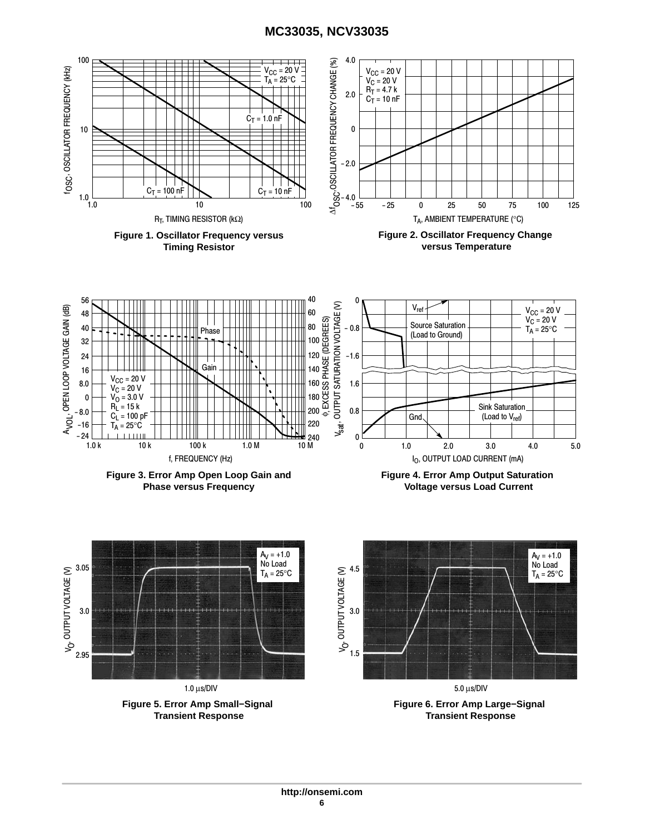<span id="page-5-0"></span>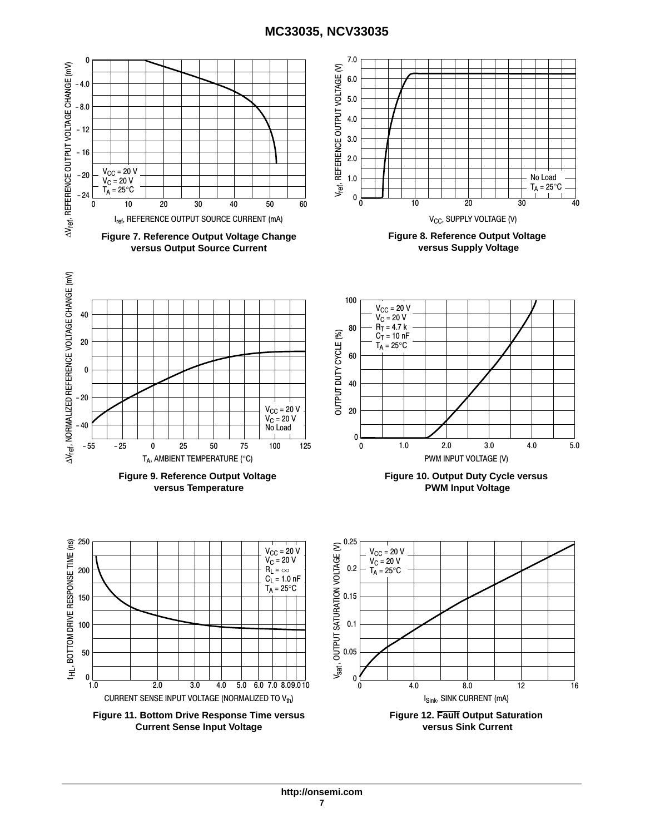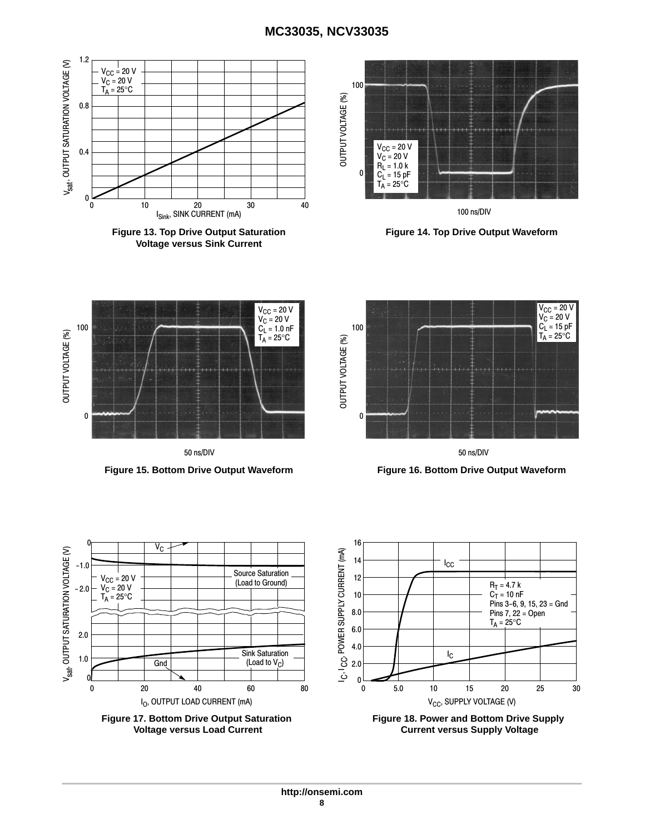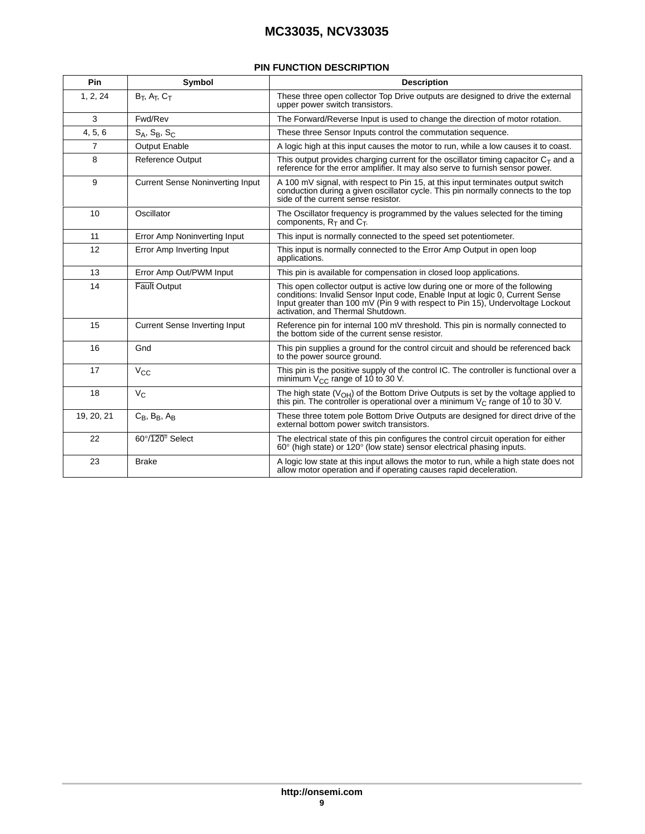#### **PIN FUNCTION DESCRIPTION**

| Pin            | Symbol                                  | <b>Description</b>                                                                                                                                                                                                                                                                   |
|----------------|-----------------------------------------|--------------------------------------------------------------------------------------------------------------------------------------------------------------------------------------------------------------------------------------------------------------------------------------|
| 1, 2, 24       | $B_T$ , $A_T$ , $C_T$                   | These three open collector Top Drive outputs are designed to drive the external<br>upper power switch transistors.                                                                                                                                                                   |
| 3              | Fwd/Rev                                 | The Forward/Reverse Input is used to change the direction of motor rotation.                                                                                                                                                                                                         |
| 4, 5, 6        | $S_A$ , $S_B$ , $S_C$                   | These three Sensor Inputs control the commutation sequence.                                                                                                                                                                                                                          |
| $\overline{7}$ | <b>Output Enable</b>                    | A logic high at this input causes the motor to run, while a low causes it to coast.                                                                                                                                                                                                  |
| 8              | <b>Reference Output</b>                 | This output provides charging current for the oscillator timing capacitor $C_T$ and a<br>reference for the error amplifier. It may also serve to furnish sensor power.                                                                                                               |
| 9              | <b>Current Sense Noninverting Input</b> | A 100 mV signal, with respect to Pin 15, at this input terminates output switch<br>conduction during a given oscillator cycle. This pin normally connects to the top<br>side of the current sense resistor.                                                                          |
| 10             | Oscillator                              | The Oscillator frequency is programmed by the values selected for the timing<br>components, $R_T$ and $C_T$ .                                                                                                                                                                        |
| 11             | Error Amp Noninverting Input            | This input is normally connected to the speed set potentiometer.                                                                                                                                                                                                                     |
| 12             | Error Amp Inverting Input               | This input is normally connected to the Error Amp Output in open loop<br>applications.                                                                                                                                                                                               |
| 13             | Error Amp Out/PWM Input                 | This pin is available for compensation in closed loop applications.                                                                                                                                                                                                                  |
| 14             | <b>Fault Output</b>                     | This open collector output is active low during one or more of the following<br>conditions: Invalid Sensor Input code, Enable Input at logic 0, Current Sense<br>Input greater than 100 mV (Pin 9 with respect to Pin 15), Undervoltage Lockout<br>activation, and Thermal Shutdown. |
| 15             | <b>Current Sense Inverting Input</b>    | Reference pin for internal 100 mV threshold. This pin is normally connected to<br>the bottom side of the current sense resistor.                                                                                                                                                     |
| 16             | Gnd                                     | This pin supplies a ground for the control circuit and should be referenced back<br>to the power source ground.                                                                                                                                                                      |
| 17             | $V_{CC}$                                | This pin is the positive supply of the control IC. The controller is functional over a<br>minimum $V_{CC}$ range of 10 to 30 V.                                                                                                                                                      |
| 18             | $V_{C}$                                 | The high state $(VOH)$ of the Bottom Drive Outputs is set by the voltage applied to<br>this pin. The controller is operational over a minimum $V_C$ range of 10 to 30 V.                                                                                                             |
| 19, 20, 21     | $C_B$ , $B_B$ , $A_B$                   | These three totem pole Bottom Drive Outputs are designed for direct drive of the<br>external bottom power switch transistors.                                                                                                                                                        |
| 22             | $60^\circ/120^\circ$ Select             | The electrical state of this pin configures the control circuit operation for either<br>$60^{\circ}$ (high state) or $120^{\circ}$ (low state) sensor electrical phasing inputs.                                                                                                     |
| 23             | <b>Brake</b>                            | A logic low state at this input allows the motor to run, while a high state does not<br>allow motor operation and if operating causes rapid deceleration.                                                                                                                            |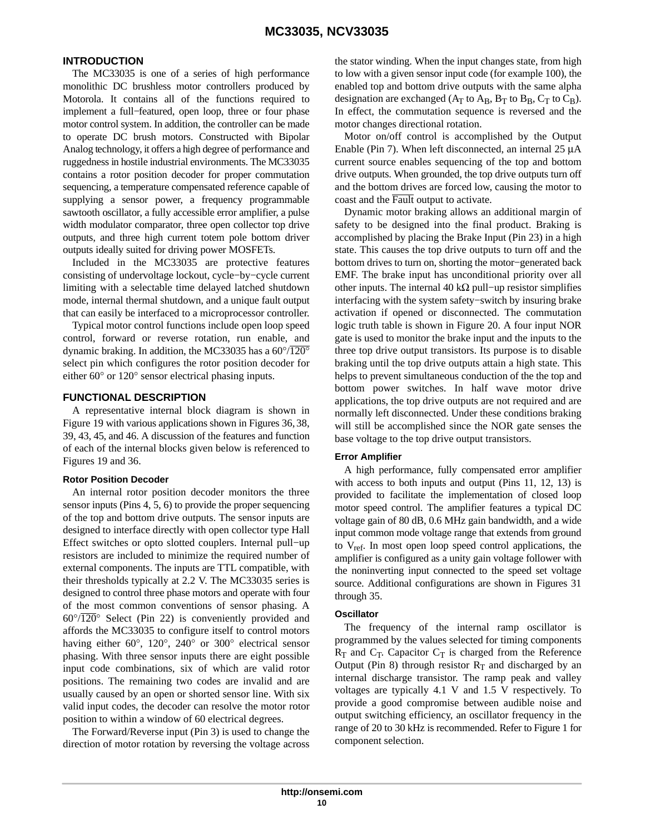#### **INTRODUCTION**

The MC33035 is one of a series of high performance monolithic DC brushless motor controllers produced by Motorola. It contains all of the functions required to implement a full−featured, open loop, three or four phase motor control system. In addition, the controller can be made to operate DC brush motors. Constructed with Bipolar Analog technology, it offers a high degree of performance and ruggedness in hostile industrial environments. The MC33035 contains a rotor position decoder for proper commutation sequencing, a temperature compensated reference capable of supplying a sensor power, a frequency programmable sawtooth oscillator, a fully accessible error amplifier, a pulse width modulator comparator, three open collector top drive outputs, and three high current totem pole bottom driver outputs ideally suited for driving power MOSFETs.

Included in the MC33035 are protective features consisting of undervoltage lockout, cycle−by−cycle current limiting with a selectable time delayed latched shutdown mode, internal thermal shutdown, and a unique fault output that can easily be interfaced to a microprocessor controller.

Typical motor control functions include open loop speed control, forward or reverse rotation, run enable, and dynamic braking. In addition, the MC33035 has a  $60^{\circ}/\overline{120^{\circ}}$ select pin which configures the rotor position decoder for either 60° or 120° sensor electrical phasing inputs.

#### **FUNCTIONAL DESCRIPTION**

A representative internal block diagram is shown in Figure [19](#page-10-0) with various applications shown in Figures [36,](#page-17-0) [38,](#page-19-0) [39,](#page-20-0) 43, 45, and [46](#page-26-0). A discussion of the features and function of each of the internal blocks given below is referenced to Figures [19](#page-10-0) and [36.](#page-17-0)

#### **Rotor Position Decoder**

An internal rotor position decoder monitors the three sensor inputs (Pins 4, 5, 6) to provide the proper sequencing of the top and bottom drive outputs. The sensor inputs are designed to interface directly with open collector type Hall Effect switches or opto slotted couplers. Internal pull−up resistors are included to minimize the required number of external components. The inputs are TTL compatible, with their thresholds typically at 2.2 V. The MC33035 series is designed to control three phase motors and operate with four of the most common conventions of sensor phasing. A  $60^{\circ}/\overline{120}^{\circ}$  Select (Pin 22) is conveniently provided and affords the MC33035 to configure itself to control motors having either 60°, 120°, 240° or 300° electrical sensor phasing. With three sensor inputs there are eight possible input code combinations, six of which are valid rotor positions. The remaining two codes are invalid and are usually caused by an open or shorted sensor line. With six valid input codes, the decoder can resolve the motor rotor position to within a window of 60 electrical degrees.

The Forward/Reverse input (Pin 3) is used to change the direction of motor rotation by reversing the voltage across

the stator winding. When the input changes state, from high to low with a given sensor input code (for example 100), the enabled top and bottom drive outputs with the same alpha designation are exchanged ( $A_T$  to  $A_B$ ,  $B_T$  to  $B_B$ ,  $C_T$  to  $C_B$ ). In effect, the commutation sequence is reversed and the motor changes directional rotation.

Motor on/off control is accomplished by the Output Enable (Pin 7). When left disconnected, an internal 25 μA current source enables sequencing of the top and bottom drive outputs. When grounded, the top drive outputs turn off and the bottom drives are forced low, causing the motor to coast and the Fault output to activate.

Dynamic motor braking allows an additional margin of safety to be designed into the final product. Braking is accomplished by placing the Brake Input (Pin 23) in a high state. This causes the top drive outputs to turn off and the bottom drives to turn on, shorting the motor−generated back EMF. The brake input has unconditional priority over all other inputs. The internal 40 k $\Omega$  pull–up resistor simplifies interfacing with the system safety−switch by insuring brake activation if opened or disconnected. The commutation logic truth table is shown in Figure [20.](#page-11-0) A four input NOR gate is used to monitor the brake input and the inputs to the three top drive output transistors. Its purpose is to disable braking until the top drive outputs attain a high state. This helps to prevent simultaneous conduction of the the top and bottom power switches. In half wave motor drive applications, the top drive outputs are not required and are normally left disconnected. Under these conditions braking will still be accomplished since the NOR gate senses the base voltage to the top drive output transistors.

#### **Error Amplifier**

A high performance, fully compensated error amplifier with access to both inputs and output (Pins 11, 12, 13) is provided to facilitate the implementation of closed loop motor speed control. The amplifier features a typical DC voltage gain of 80 dB, 0.6 MHz gain bandwidth, and a wide input common mode voltage range that extends from ground to Vref. In most open loop speed control applications, the amplifier is configured as a unity gain voltage follower with the noninverting input connected to the speed set voltage source. Additional configurations are shown in Figures [31](#page-15-0) through [35.](#page-16-0)

#### **Oscillator**

The frequency of the internal ramp oscillator is programmed by the values selected for timing components  $R_T$  and  $C_T$ . Capacitor  $C_T$  is charged from the Reference Output (Pin 8) through resistor  $R_T$  and discharged by an internal discharge transistor. The ramp peak and valley voltages are typically 4.1 V and 1.5 V respectively. To provide a good compromise between audible noise and output switching efficiency, an oscillator frequency in the range of 20 to 30 kHz is recommended. Refer to Figure [1](#page-5-0) for component selection.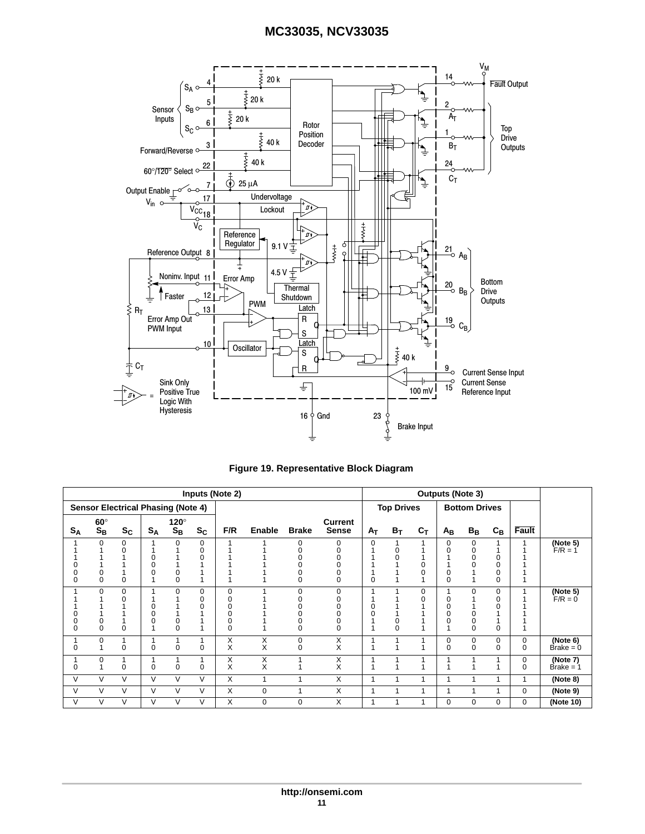<span id="page-10-0"></span>

| Figure 19. Representative Block Diagram |  |
|-----------------------------------------|--|
|                                         |  |

| <b>Inputs (Note 2)</b> |                                         |                                           |          |                           |                    | <b>Outputs (Note 3)</b>           |        |                      |                         |          |                   |       |                         |                                   |                           |               |                                |
|------------------------|-----------------------------------------|-------------------------------------------|----------|---------------------------|--------------------|-----------------------------------|--------|----------------------|-------------------------|----------|-------------------|-------|-------------------------|-----------------------------------|---------------------------|---------------|--------------------------------|
|                        |                                         | <b>Sensor Electrical Phasing (Note 4)</b> |          |                           |                    |                                   |        |                      |                         |          | <b>Top Drives</b> |       |                         | <b>Bottom Drives</b>              |                           |               |                                |
| $S_A$                  | $60^\circ$<br>$\mathbf{S}_{\mathbf{B}}$ | $S_C$                                     | $S_A$    | $120^\circ$<br>$S_B$      | $S_{\rm C}$        | F/R                               | Enable | <b>Brake</b>         | Current<br><b>Sense</b> | Aτ       | $B_T$             | $c_T$ | $A_{\mathsf{B}}$        | $B_B$                             | $\mathtt{C}_{\mathtt{B}}$ | Fault         |                                |
| 0<br>$\mathbf 0$       | 0<br>$\Omega$                           | 0<br>0<br>0                               |          | $\Omega$<br>0<br>$\Omega$ | $\Omega$<br>0<br>0 |                                   |        | $\Omega$             | 0                       | $\Omega$ |                   |       | 0<br>$\Omega$<br>0<br>0 | 0<br>0<br>0                       | O<br>0<br>0               |               | (Note 5)<br>$F/R = 1$          |
| 0<br>$\Omega$          | $\Omega$<br>$\Omega$                    | 0<br>U<br>$\Omega$                        |          | $\Omega$<br>$\Omega$      | 0<br>0<br>ŋ        | $\mathbf 0$<br>O<br>0<br>$\Omega$ |        | $\Omega$<br>$\Omega$ | O<br>$\Omega$           |          | $\Omega$          | 0     | 0                       | 0<br>0<br>$\mathbf 0$<br>$\Omega$ | 0<br>0                    |               | (Note 5)<br>$F/R = 0$          |
| 0                      | $\Omega$                                | $\Omega$                                  | O        | 1<br>$\Omega$             | $\Omega$           | X<br>X                            | Χ<br>X | 0<br>$\Omega$        | Χ<br>X                  |          |                   |       | 0<br>0                  | 0<br>$\Omega$                     | 0<br>$\Omega$             | 0<br>$\Omega$ | (Note 6)<br>$\text{Brake} = 0$ |
| 0                      | $\Omega$                                | 4<br>$\Omega$                             | $\Omega$ | 1<br>$\Omega$             | $\Omega$           | Х<br>X                            | Χ<br>X |                      | Χ<br>X                  |          |                   |       |                         |                                   |                           | 0<br>$\Omega$ | (Note 7)<br>$\text{Brake} = 1$ |
| V                      | $\vee$                                  | V                                         | $\vee$   | V                         | $\vee$             | X                                 | 1      | 1                    | Χ                       | 1        |                   |       |                         |                                   |                           |               | (Note 8)                       |
| V                      | $\vee$                                  | $\vee$                                    | $\vee$   | V                         | $\vee$             | X                                 | 0      | 1                    | X                       | 1        |                   |       |                         |                                   |                           | $\Omega$      | (Note 9)                       |
| V                      | $\vee$                                  | V                                         | V        | V                         | $\vee$             | X                                 | 0      | 0                    | X                       | 1        |                   |       | 0                       | 0                                 | 0                         | 0             | (Note 10)                      |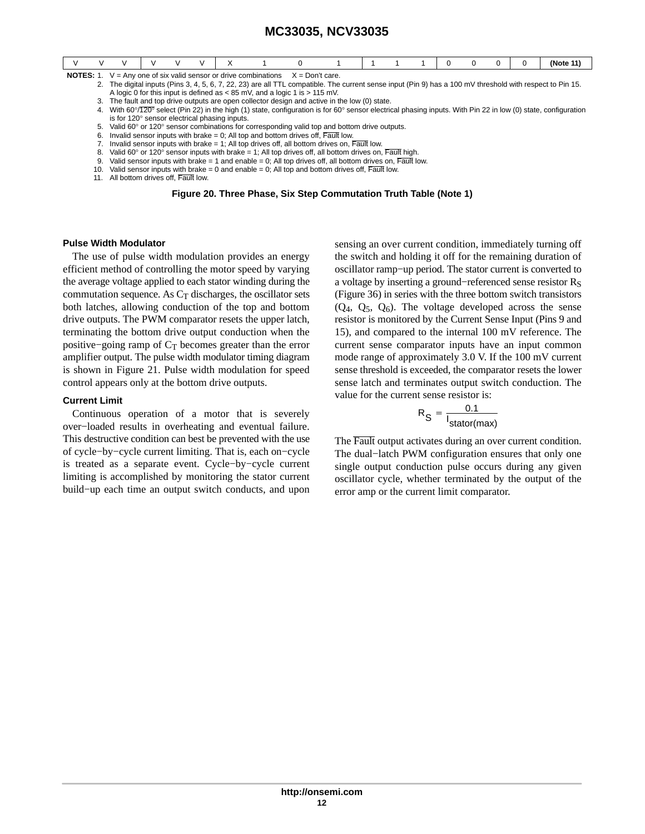<span id="page-11-0"></span>

|                                                                                          |                                                                                                                                                           |                                                                                                                                                                |  |  |  |  |  |                                                                                |  |  |  |  |  | (Note 11) |
|------------------------------------------------------------------------------------------|-----------------------------------------------------------------------------------------------------------------------------------------------------------|----------------------------------------------------------------------------------------------------------------------------------------------------------------|--|--|--|--|--|--------------------------------------------------------------------------------|--|--|--|--|--|-----------|
| <b>NOTES:</b> 1. $V = Any one of six valid sensor or drive combinations X = Don't care.$ |                                                                                                                                                           |                                                                                                                                                                |  |  |  |  |  |                                                                                |  |  |  |  |  |           |
|                                                                                          | 2. The digital inputs (Pins 3, 4, 5, 6, 7, 22, 23) are all TTL compatible. The current sense input (Pin 9) has a 100 mV threshold with respect to Pin 15. |                                                                                                                                                                |  |  |  |  |  |                                                                                |  |  |  |  |  |           |
|                                                                                          |                                                                                                                                                           |                                                                                                                                                                |  |  |  |  |  | A logic 0 for this input is defined as $<$ 85 mV, and a logic 1 is $>$ 115 mV. |  |  |  |  |  |           |
|                                                                                          | 3. The fault and top drive outputs are open collector design and active in the low (0) state.                                                             |                                                                                                                                                                |  |  |  |  |  |                                                                                |  |  |  |  |  |           |
|                                                                                          |                                                                                                                                                           | 4. With 60°/120° select (Pin 22) in the high (1) state, configuration is for 60° sensor electrical phasing inputs. With Pin 22 in low (0) state, configuration |  |  |  |  |  |                                                                                |  |  |  |  |  |           |

- is for 120° sensor electrical phasing inputs.
- 5. Valid 60° or 120° sensor combinations for corresponding valid top and bottom drive outputs.
- 6. Invalid sensor inputs with brake  $= 0$ ; All top and bottom drives off, Fault low.
- 7. Invalid sensor inputs with brake = 1; All top drives off, all bottom drives on,  $\overline{\text{Pauli}}$  low.
- 8. Valid 60 $^{\circ}$  or 120 $^{\circ}$  sensor inputs with brake = 1; All top drives off, all bottom drives on, Fault high.
- 9. Valid sensor inputs with brake = 1 and enable = 0; All top drives off, all bottom drives on, Fault low.
- 10. Valid sensor inputs with brake = 0 and enable = 0; All top and bottom drives off, Fault low.
- 11. All bottom drives off, Fault low.

**Figure 20. Three Phase, Six Step Commutation Truth Table (Note 1)**

#### **Pulse Width Modulator**

The use of pulse width modulation provides an energy efficient method of controlling the motor speed by varying the average voltage applied to each stator winding during the commutation sequence. As  $C_T$  discharges, the oscillator sets both latches, allowing conduction of the top and bottom drive outputs. The PWM comparator resets the upper latch, terminating the bottom drive output conduction when the positive–going ramp of  $C_T$  becomes greater than the error amplifier output. The pulse width modulator timing diagram is shown in Figure [21](#page-12-0). Pulse width modulation for speed control appears only at the bottom drive outputs.

#### **Current Limit**

Continuous operation of a motor that is severely over−loaded results in overheating and eventual failure. This destructive condition can best be prevented with the use of cycle−by−cycle current limiting. That is, each on−cycle is treated as a separate event. Cycle−by−cycle current limiting is accomplished by monitoring the stator current build−up each time an output switch conducts, and upon

sensing an over current condition, immediately turning off the switch and holding it off for the remaining duration of oscillator ramp−up period. The stator current is converted to a voltage by inserting a ground–referenced sense resistor R<sub>S</sub> (Figure [36\)](#page-17-0) in series with the three bottom switch transistors  $(Q_4, Q_5, Q_6)$ . The voltage developed across the sense resistor is monitored by the Current Sense Input (Pins 9 and 15), and compared to the internal 100 mV reference. The current sense comparator inputs have an input common mode range of approximately 3.0 V. If the 100 mV current sense threshold is exceeded, the comparator resets the lower sense latch and terminates output switch conduction. The value for the current sense resistor is:

$$
R_{\rm S} = \frac{0.1}{I_{\rm{stator(max)}}}
$$

The Fault output activates during an over current condition. The dual−latch PWM configuration ensures that only one single output conduction pulse occurs during any given oscillator cycle, whether terminated by the output of the error amp or the current limit comparator.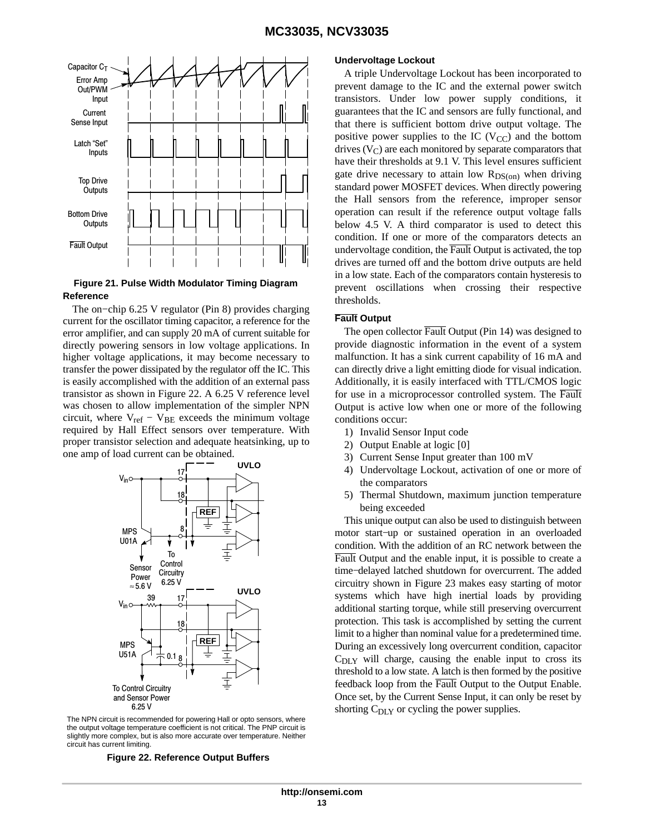<span id="page-12-0"></span>

#### **Figure 21. Pulse Width Modulator Timing Diagram Reference**

The on−chip 6.25 V regulator (Pin 8) provides charging current for the oscillator timing capacitor, a reference for the error amplifier, and can supply 20 mA of current suitable for directly powering sensors in low voltage applications. In higher voltage applications, it may become necessary to transfer the power dissipated by the regulator off the IC. This is easily accomplished with the addition of an external pass transistor as shown in Figure 22. A 6.25 V reference level was chosen to allow implementation of the simpler NPN circuit, where  $V_{ref} - V_{BE}$  exceeds the minimum voltage required by Hall Effect sensors over temperature. With proper transistor selection and adequate heatsinking, up to one amp of load current can be obtained.



The NPN circuit is recommended for powering Hall or opto sensors, where the output voltage temperature coefficient is not critical. The PNP circuit is slightly more complex, but is also more accurate over temperature. Neither circuit has current limiting.

**Figure 22. Reference Output Buffers**

#### **Undervoltage Lockout**

A triple Undervoltage Lockout has been incorporated to prevent damage to the IC and the external power switch transistors. Under low power supply conditions, it guarantees that the IC and sensors are fully functional, and that there is sufficient bottom drive output voltage. The positive power supplies to the IC  $(V_{CC})$  and the bottom drives  $(V_C)$  are each monitored by separate comparators that have their thresholds at 9.1 V. This level ensures sufficient gate drive necessary to attain low  $R_{DS(0n)}$  when driving standard power MOSFET devices. When directly powering the Hall sensors from the reference, improper sensor operation can result if the reference output voltage falls below 4.5 V. A third comparator is used to detect this condition. If one or more of the comparators detects an undervoltage condition, the Fault Output is activated, the top drives are turned off and the bottom drive outputs are held in a low state. Each of the comparators contain hysteresis to prevent oscillations when crossing their respective thresholds.

#### **Fault Output**

The open collector Fault Output (Pin 14) was designed to provide diagnostic information in the event of a system malfunction. It has a sink current capability of 16 mA and can directly drive a light emitting diode for visual indication. Additionally, it is easily interfaced with TTL/CMOS logic for use in a microprocessor controlled system. The Fault Output is active low when one or more of the following conditions occur:

- 1) Invalid Sensor Input code
- 2) Output Enable at logic [0]
- 3) Current Sense Input greater than 100 mV
- 4) Undervoltage Lockout, activation of one or more of the comparators
- 5) Thermal Shutdown, maximum junction temperature being exceeded

This unique output can also be used to distinguish between motor start−up or sustained operation in an overloaded condition. With the addition of an RC network between the Fault Output and the enable input, it is possible to create a time−delayed latched shutdown for overcurrent. The added circuitry shown in Figure [23](#page-13-0) makes easy starting of motor systems which have high inertial loads by providing additional starting torque, while still preserving overcurrent protection. This task is accomplished by setting the current limit to a higher than nominal value for a predetermined time. During an excessively long overcurrent condition, capacitor  $C_{\text{DIY}}$  will charge, causing the enable input to cross its threshold to a low state. A latch is then formed by the positive feedback loop from the Fault Output to the Output Enable. Once set, by the Current Sense Input, it can only be reset by shorting C<sub>DLY</sub> or cycling the power supplies.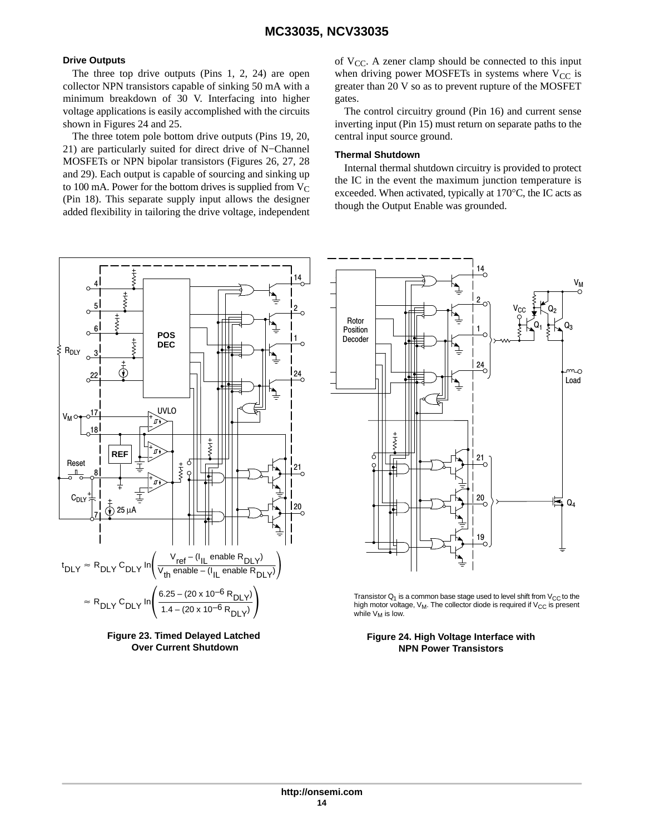#### <span id="page-13-0"></span>**Drive Outputs**

The three top drive outputs (Pins 1, 2, 24) are open collector NPN transistors capable of sinking 50 mA with a minimum breakdown of 30 V. Interfacing into higher voltage applications is easily accomplished with the circuits shown in Figures 24 and [25](#page-14-0).

The three totem pole bottom drive outputs (Pins 19, 20, 21) are particularly suited for direct drive of N−Channel MOSFETs or NPN bipolar transistors (Figures [26,](#page-14-0) [27](#page-14-0), [28](#page-14-0) and [29\)](#page-15-0). Each output is capable of sourcing and sinking up to 100 mA. Power for the bottom drives is supplied from  $V_C$ (Pin 18). This separate supply input allows the designer added flexibility in tailoring the drive voltage, independent





of  $V_{CC}$ . A zener clamp should be connected to this input when driving power MOSFETs in systems where  $V_{CC}$  is greater than 20 V so as to prevent rupture of the MOSFET gates.

The control circuitry ground (Pin 16) and current sense inverting input (Pin 15) must return on separate paths to the central input source ground.

#### **Thermal Shutdown**

Internal thermal shutdown circuitry is provided to protect the IC in the event the maximum junction temperature is exceeded. When activated, typically at 170°C, the IC acts as though the Output Enable was grounded.



Transistor  $Q_1$  is a common base stage used to level shift from  $V_{CC}$  to the high motor voltage,  $V_M$ . The collector diode is required if  $V_{CC}$  is present while  $V_M$  is low.

**Figure 24. High Voltage Interface with NPN Power Transistors**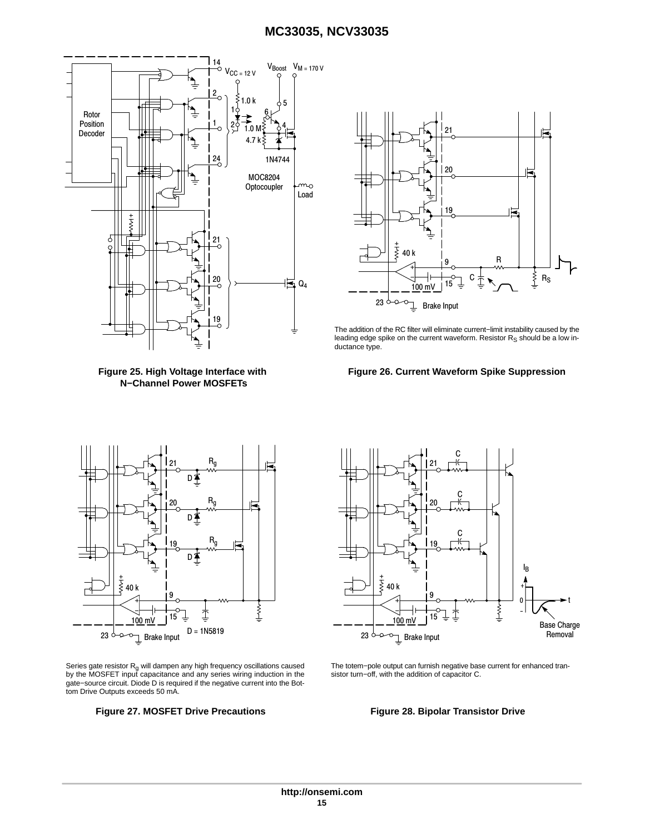<span id="page-14-0"></span>

**Figure 25. High Voltage Interface with N−Channel Power MOSFETs**



The addition of the RC filter will eliminate current−limit instability caused by the leading edge spike on the current waveform. Resistor  $R_S$  should be a low inductance type.





Series gate resistor R<sub>g</sub> will dampen any high frequency oscillations caused<br>by the MOSFET input capacitance and any series wiring induction in the gate−source circuit. Diode D is required if the negative current into the Bottom Drive Outputs exceeds 50 mA.

#### **Figure 27. MOSFET Drive Precautions Figure 28. Bipolar Transistor Drive**



The totem−pole output can furnish negative base current for enhanced transistor turn−off, with the addition of capacitor C.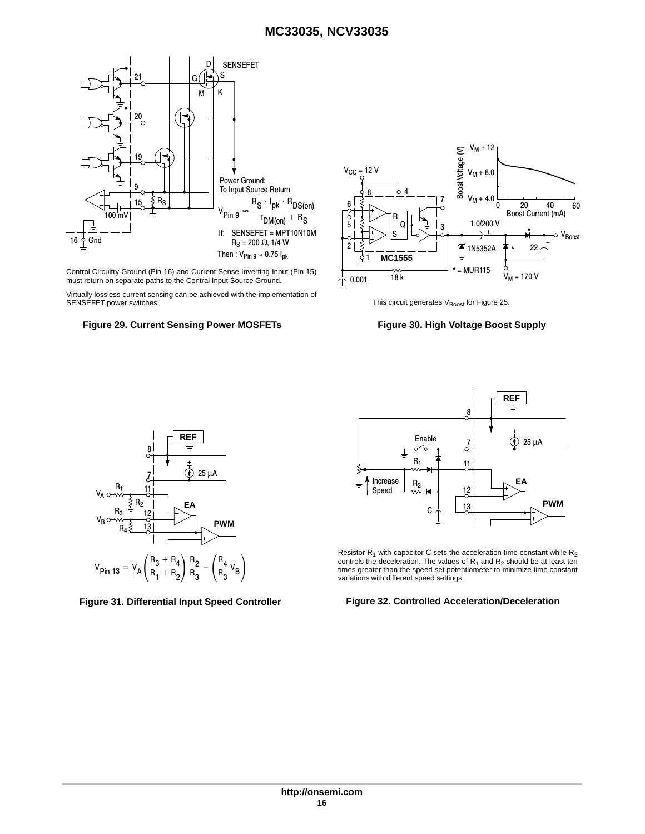<span id="page-15-0"></span>

Control Circuitry Ground (Pin 16) and Current Sense Inverting Input (Pin 15) must return on separate paths to the Central Input Source Ground.

Virtually lossless current sensing can be achieved with the implementation of SENSEFET power switches.

#### **Figure 29. Current Sensing Power MOSFETs Figure 30. High Voltage Boost Supply**



This circuit generates  $V_{\text{Boost}}$  for Figure [25](#page-14-0).





Resistor R<sub>1</sub> with capacitor C sets the acceleration time constant while R<sub>2</sub><br>controls the deceleration. The values of R<sub>1</sub> and R<sub>2</sub> should be at least ten<br>times greater than the speed set potentiometer to minimize time c controls the deceleration. The values of  $R_1$  and  $R_2$  should be at least ten times greater than the speed set potentiometer to minimize time constant variations with different speed settings.

#### **Figure 31. Differential Input Speed Controller Figure 32. Controlled Acceleration/Deceleration**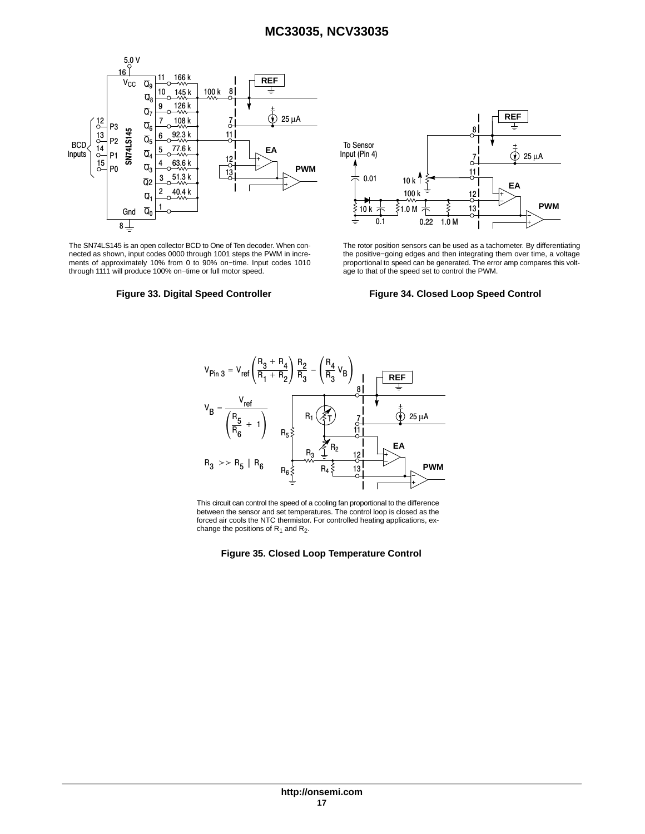<span id="page-16-0"></span>

The SN74LS145 is an open collector BCD to One of Ten decoder. When connected as shown, input codes 0000 through 1001 steps the PWM in increments of approximately 10% from 0 to 90% on−time. Input codes 1010 through 1111 will produce 100% on−time or full motor speed.





The rotor position sensors can be used as a tachometer. By differentiating the positive−going edges and then integrating them over time, a voltage proportional to speed can be generated. The error amp compares this voltage to that of the speed set to control the PWM.

#### **Figure 33. Digital Speed Controller Figure 34. Closed Loop Speed Control**



This circuit can control the speed of a cooling fan proportional to the difference between the sensor and set temperatures. The control loop is closed as the forced air cools the NTC thermistor. For controlled heating applications, exchange the positions of  $R_1$  and  $R_2$ .

#### **Figure 35. Closed Loop Temperature Control**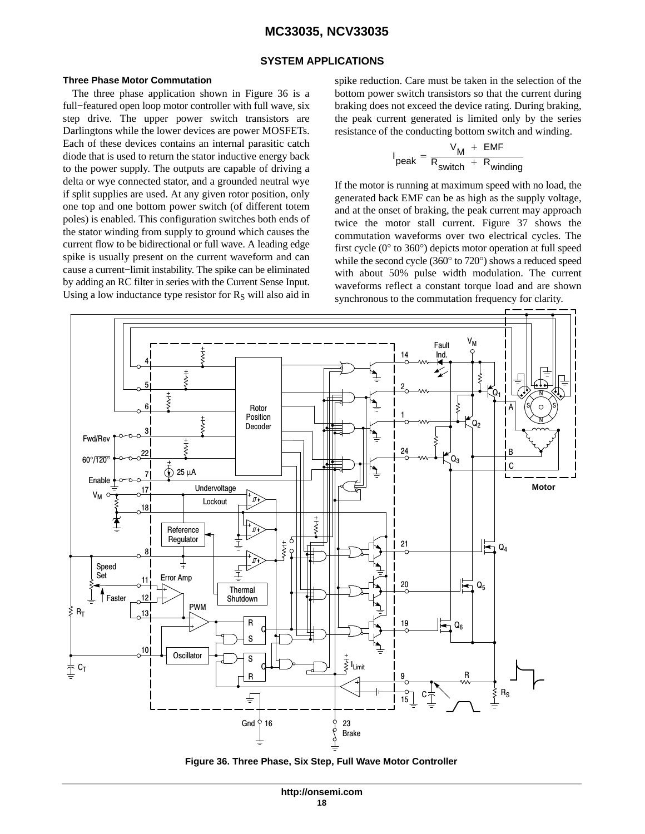#### **SYSTEM APPLICATIONS**

#### <span id="page-17-0"></span>**Three Phase Motor Commutation**

The three phase application shown in Figure 36 is a full−featured open loop motor controller with full wave, six step drive. The upper power switch transistors are Darlingtons while the lower devices are power MOSFETs. Each of these devices contains an internal parasitic catch diode that is used to return the stator inductive energy back to the power supply. The outputs are capable of driving a delta or wye connected stator, and a grounded neutral wye if split supplies are used. At any given rotor position, only one top and one bottom power switch (of different totem poles) is enabled. This configuration switches both ends of the stator winding from supply to ground which causes the current flow to be bidirectional or full wave. A leading edge spike is usually present on the current waveform and can cause a current−limit instability. The spike can be eliminated by adding an RC filter in series with the Current Sense Input. Using a low inductance type resistor for  $R<sub>S</sub>$  will also aid in spike reduction. Care must be taken in the selection of the bottom power switch transistors so that the current during braking does not exceed the device rating. During braking, the peak current generated is limited only by the series resistance of the conducting bottom switch and winding.

$$
I_{\text{peak}} = \frac{V_{\text{M}} + \text{EMF}}{R_{\text{switch}} + R_{\text{winding}}}
$$

If the motor is running at maximum speed with no load, the generated back EMF can be as high as the supply voltage, and at the onset of braking, the peak current may approach twice the motor stall current. Figure [37](#page-18-0) shows the commutation waveforms over two electrical cycles. The first cycle (0° to 360°) depicts motor operation at full speed while the second cycle (360° to 720°) shows a reduced speed with about 50% pulse width modulation. The current waveforms reflect a constant torque load and are shown synchronous to the commutation frequency for clarity.



**Figure 36. Three Phase, Six Step, Full Wave Motor Controller**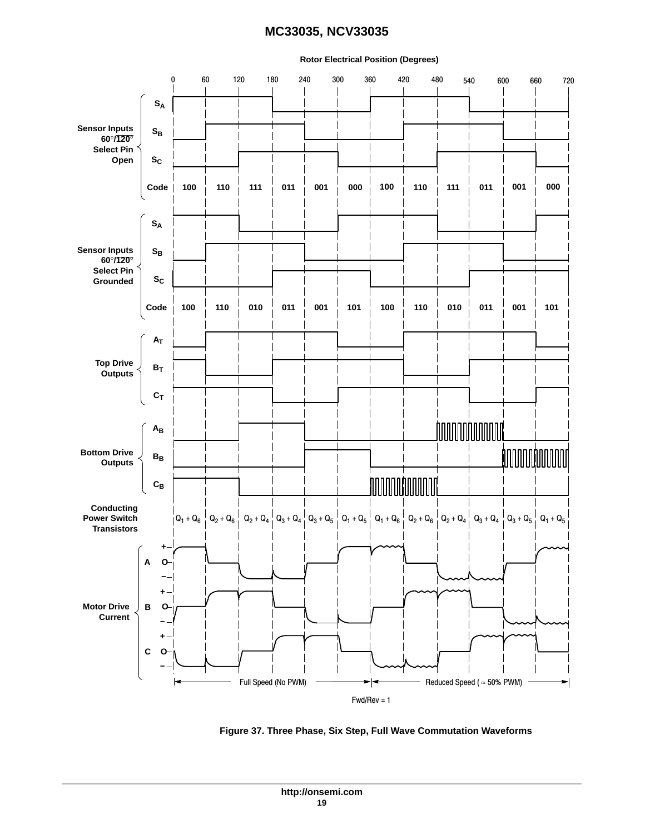## <span id="page-18-0"></span>**Rotor Electrical Position (Degrees)** 0 60 120 180 240 300 360 420 480 540 600 660 720  $\overline{\phantom{a}}$ **SA Sensor Inputs**  $\mathbf{S}_{\mathbf{B}}$ **60**°**/120**° **Select Pin Open SC Code 100 110 111 011 001 000 100 110 111 011 001 000 SA**  $S_B$ **SC Code 100 110 001 010 010 101 011 001 101 100 110 011**  $A_T$  $B_T$  $c_T$ **hoodoodooddi AB**  $\mathbf{B}_{\mathbf{B}}$ **hoodoodoodoo CB**



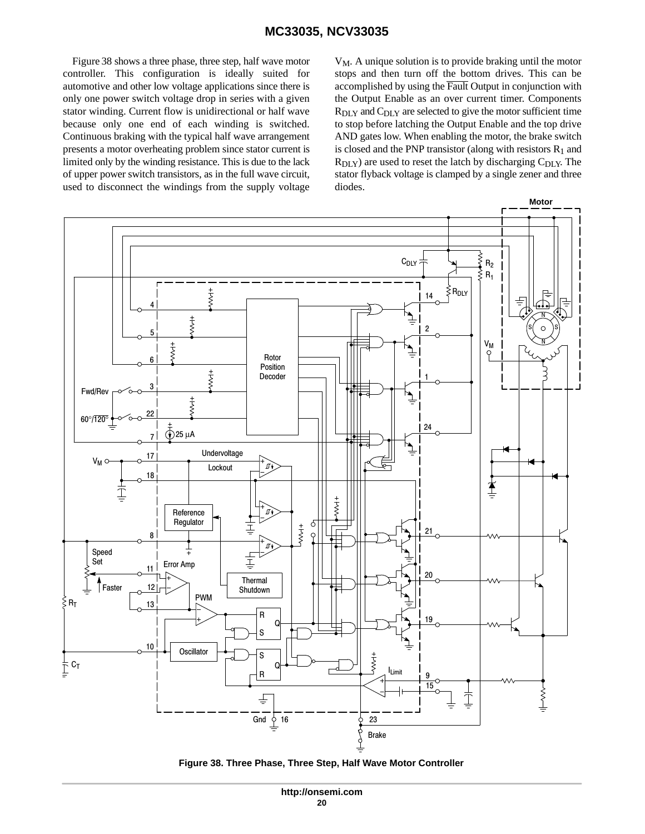<span id="page-19-0"></span>Figure 38 shows a three phase, three step, half wave motor controller. This configuration is ideally suited for automotive and other low voltage applications since there is only one power switch voltage drop in series with a given stator winding. Current flow is unidirectional or half wave because only one end of each winding is switched. Continuous braking with the typical half wave arrangement presents a motor overheating problem since stator current is limited only by the winding resistance. This is due to the lack of upper power switch transistors, as in the full wave circuit, used to disconnect the windings from the supply voltage  $V_M$ . A unique solution is to provide braking until the motor stops and then turn off the bottom drives. This can be accomplished by using the  $\overline{\text{Pault}}$  Output in conjunction with the Output Enable as an over current timer. Components  $R_{\text{DLY}}$  and  $C_{\text{DLY}}$  are selected to give the motor sufficient time to stop before latching the Output Enable and the top drive AND gates low. When enabling the motor, the brake switch is closed and the PNP transistor (along with resistors  $R_1$  and  $R_{\text{DLY}}$ ) are used to reset the latch by discharging  $C_{\text{DLY}}$ . The stator flyback voltage is clamped by a single zener and three diodes.



**Figure 38. Three Phase, Three Step, Half Wave Motor Controller**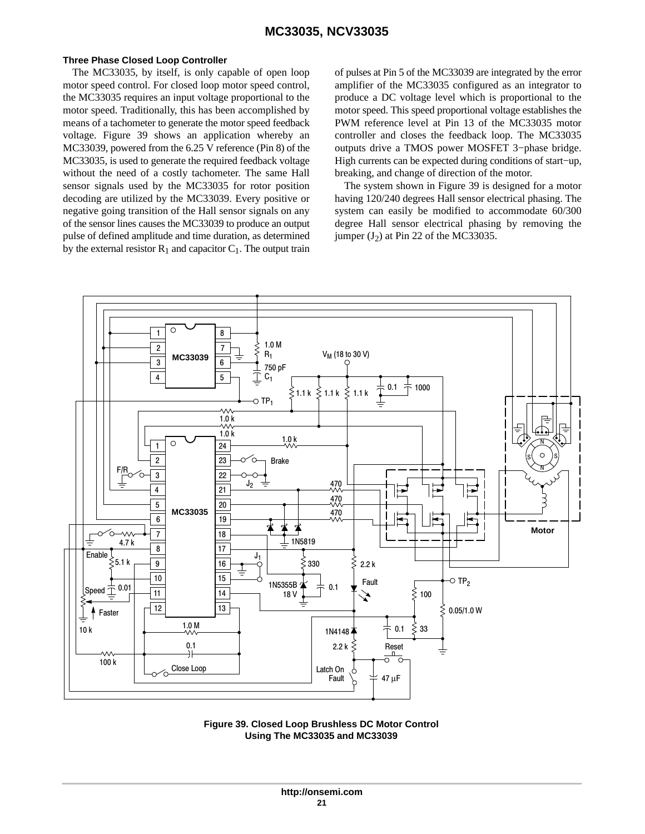#### <span id="page-20-0"></span>**Three Phase Closed Loop Controller**

The MC33035, by itself, is only capable of open loop motor speed control. For closed loop motor speed control, the MC33035 requires an input voltage proportional to the motor speed. Traditionally, this has been accomplished by means of a tachometer to generate the motor speed feedback voltage. Figure 39 shows an application whereby an MC33039, powered from the 6.25 V reference (Pin 8) of the MC33035, is used to generate the required feedback voltage without the need of a costly tachometer. The same Hall sensor signals used by the MC33035 for rotor position decoding are utilized by the MC33039. Every positive or negative going transition of the Hall sensor signals on any of the sensor lines causes the MC33039 to produce an output pulse of defined amplitude and time duration, as determined by the external resistor  $R_1$  and capacitor  $C_1$ . The output train

of pulses at Pin 5 of the MC33039 are integrated by the error amplifier of the MC33035 configured as an integrator to produce a DC voltage level which is proportional to the motor speed. This speed proportional voltage establishes the PWM reference level at Pin 13 of the MC33035 motor controller and closes the feedback loop. The MC33035 outputs drive a TMOS power MOSFET 3−phase bridge. High currents can be expected during conditions of start−up, breaking, and change of direction of the motor.

The system shown in Figure 39 is designed for a motor having 120/240 degrees Hall sensor electrical phasing. The system can easily be modified to accommodate 60/300 degree Hall sensor electrical phasing by removing the jumper  $(J_2)$  at Pin 22 of the MC33035.



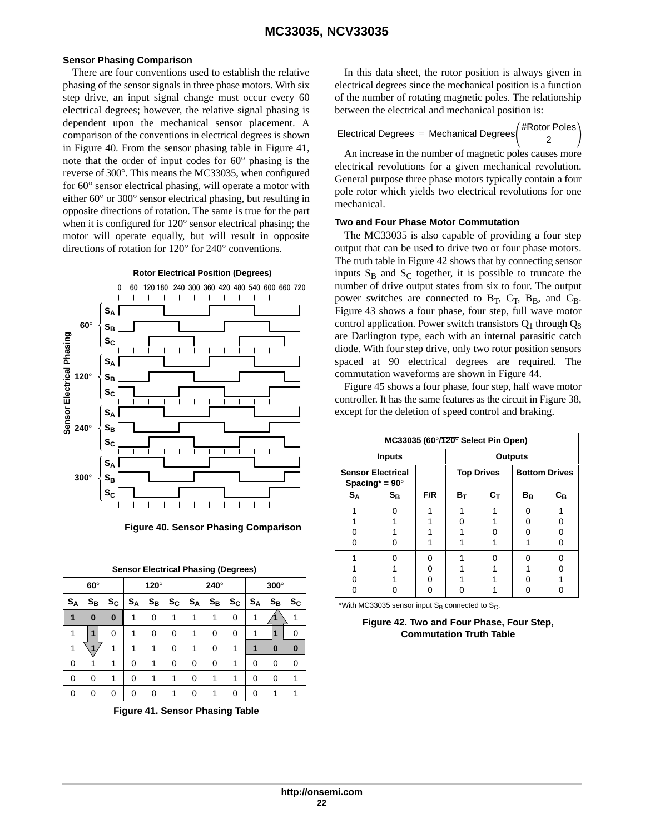#### **Sensor Phasing Comparison**

There are four conventions used to establish the relative phasing of the sensor signals in three phase motors. With six step drive, an input signal change must occur every 60 electrical degrees; however, the relative signal phasing is dependent upon the mechanical sensor placement. A comparison of the conventions in electrical degrees is shown in Figure 40. From the sensor phasing table in Figure 41, note that the order of input codes for 60° phasing is the reverse of 300°. This means the MC33035, when configured for 60° sensor electrical phasing, will operate a motor with either 60° or 300° sensor electrical phasing, but resulting in opposite directions of rotation. The same is true for the part when it is configured for 120° sensor electrical phasing; the motor will operate equally, but will result in opposite directions of rotation for 120° for 240° conventions.



**Figure 40. Sensor Phasing Comparison**

|                | <b>Sensor Electrical Phasing (Degrees)</b> |                           |             |          |   |             |       |             |             |                         |    |  |  |
|----------------|--------------------------------------------|---------------------------|-------------|----------|---|-------------|-------|-------------|-------------|-------------------------|----|--|--|
| $60^\circ$     |                                            |                           | $120^\circ$ |          |   | 240°        |       |             | $300^\circ$ |                         |    |  |  |
| S <sub>Α</sub> | $S_{\mathsf{B}}$                           | $\mathsf{s}_{\mathsf{c}}$ | $S_A$       | $S_B$    |   | $S_C   S_A$ | $S_B$ | $S_{\rm C}$ | $S_A$       | $\mathbf{s}_\mathbf{B}$ | Sc |  |  |
|                | $\bf{0}$                                   | $\bf{0}$                  | 1           | $\Omega$ | 1 | 1           |       | 0           |             |                         |    |  |  |
|                | 1                                          | 0                         | 1           | 0        | 0 | 1           | 0     | 0           |             |                         |    |  |  |
|                |                                            |                           | 1           | 1        | 0 | 1           | 0     | 1           |             | ŋ                       | 0  |  |  |
| O              |                                            |                           | 0           | 1        | 0 | 0           | 0     | 1           | O           | O                       | n  |  |  |
| ∩              | O                                          | 1                         | 0           | 1        | 1 | 0           |       |             | O           | O                       |    |  |  |
|                |                                            | 0                         | O           | n        |   |             |       |             |             |                         |    |  |  |

**Figure 41. Sensor Phasing Table**

In this data sheet, the rotor position is always given in electrical degrees since the mechanical position is a function of the number of rotating magnetic poles. The relationship between the electrical and mechanical position is:

| Electrical Degrees = Mechanical Degrees $\frac{m \times 1000 + 000}{2}$ | $#$ Rotor Poles |  |
|-------------------------------------------------------------------------|-----------------|--|
|                                                                         |                 |  |

An increase in the number of magnetic poles causes more electrical revolutions for a given mechanical revolution. General purpose three phase motors typically contain a four pole rotor which yields two electrical revolutions for one mechanical.

#### **Two and Four Phase Motor Commutation**

The MC33035 is also capable of providing a four step output that can be used to drive two or four phase motors. The truth table in Figure 42 shows that by connecting sensor inputs  $S_B$  and  $S_C$  together, it is possible to truncate the number of drive output states from six to four. The output power switches are connected to B<sub>T</sub>, C<sub>T</sub>, B<sub>B</sub>, and C<sub>B</sub>. Figure 43 shows a four phase, four step, full wave motor control application. Power switch transistors  $Q_1$  through  $Q_8$ are Darlington type, each with an internal parasitic catch diode. With four step drive, only two rotor position sensors spaced at 90 electrical degrees are required. The commutation waveforms are shown in Figure [44.](#page-23-0)

Figure 45 shows a four phase, four step, half wave motor controller. It has the same features as the circuit in Figure [38,](#page-19-0) except for the deletion of speed control and braking.

|                                                   | MC33035 (60 $\degree$ /120 $\degree$ Select Pin Open) |     |       |                   |                      |                         |  |  |  |
|---------------------------------------------------|-------------------------------------------------------|-----|-------|-------------------|----------------------|-------------------------|--|--|--|
|                                                   | <b>Inputs</b>                                         |     |       | <b>Outputs</b>    |                      |                         |  |  |  |
| <b>Sensor Electrical</b><br>Spacing* = $90^\circ$ |                                                       |     |       | <b>Top Drives</b> | <b>Bottom Drives</b> |                         |  |  |  |
| $S_A$                                             | $S_{\rm B}$                                           | F/R | $B_T$ | $\mathtt{C_{T}}$  | $B_B$                | $\mathtt{c}_\mathtt{B}$ |  |  |  |
|                                                   |                                                       |     |       |                   |                      |                         |  |  |  |
|                                                   |                                                       |     |       |                   |                      |                         |  |  |  |
|                                                   |                                                       |     |       |                   |                      |                         |  |  |  |
|                                                   |                                                       |     |       |                   |                      |                         |  |  |  |
|                                                   |                                                       |     |       |                   |                      |                         |  |  |  |
|                                                   |                                                       |     |       |                   |                      |                         |  |  |  |
|                                                   |                                                       |     |       |                   |                      |                         |  |  |  |
|                                                   |                                                       |     |       |                   |                      |                         |  |  |  |

\*With MC33035 sensor input S<sub>B</sub> connected to S<sub>C</sub>.

**Figure 42. Two and Four Phase, Four Step, Commutation Truth Table**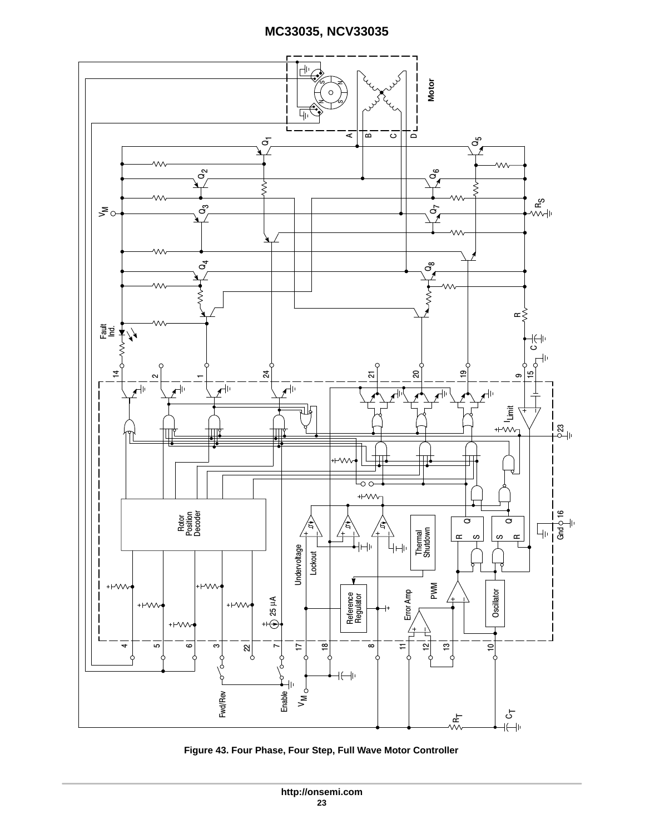

**Figure 43. Four Phase, Four Step, Full Wave Motor Controller**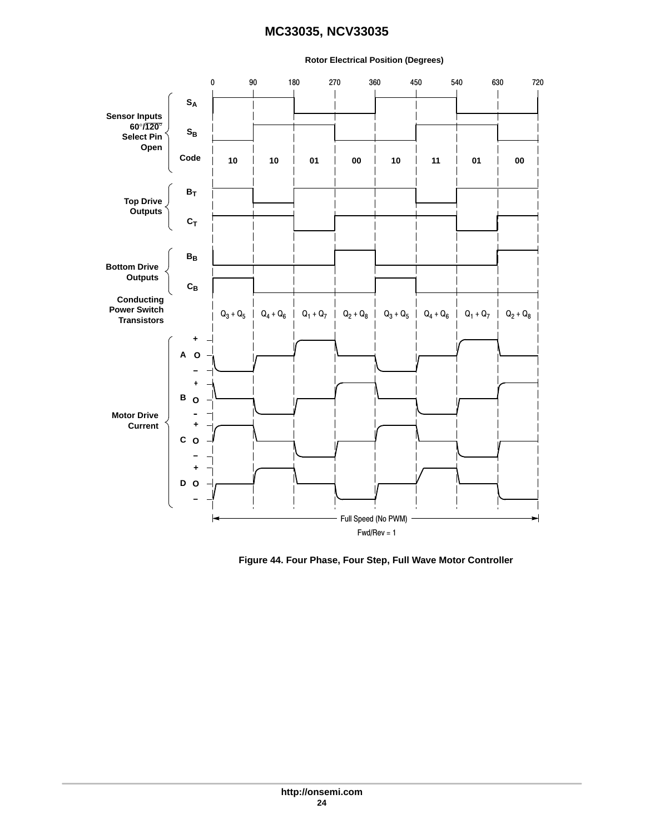#### <span id="page-23-0"></span>0 90 180 270 360 450 540 630 720  $\overline{\phantom{a}}$  $\overline{\phantom{a}}$ **SA**  $\overline{\phantom{a}}$  $\overline{\phantom{a}}$ **Sensor Inputs 60**°**/120**°  $S_B$ **Select Pin Open Code 10 10 01 00 10 11 01 00**  $B_T$ **Top Drive Outputs**  $c_T$ **BB Bottom Drive Outputs CB Conducting Power Switch**  $Q_3 + Q_5$  $Q_4 + Q_6$  |  $Q_1 + Q_7$  |  $Q_2 + Q_8$  |  $Q_3 + Q_5$  |  $Q_4 + Q_6$  |  $Q_1 + Q_7$  |  $Q_2 + Q_8$ **Transistors + A O − + B O Motor Drive - Current + C O − + D O −** Full Speed (No PWM)Fwd/Rev = 1

#### **Rotor Electrical Position (Degrees)**

**Figure 44. Four Phase, Four Step, Full Wave Motor Controller**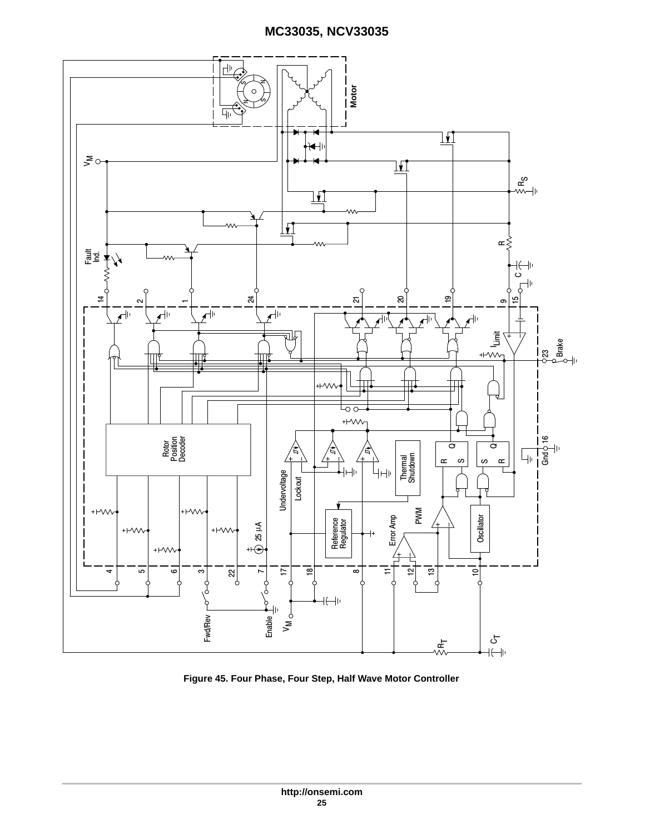

**Figure 45. Four Phase, Four Step, Half Wave Motor Controller**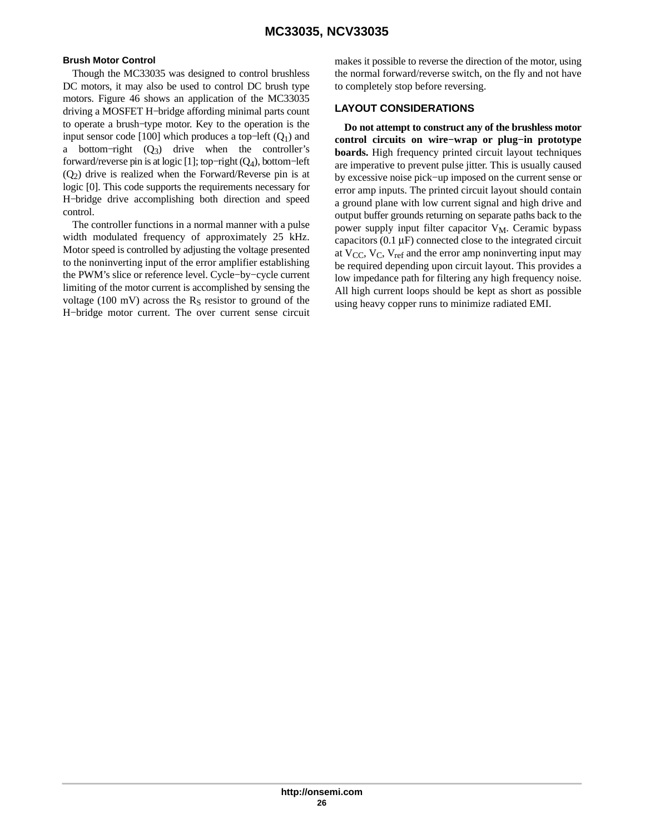#### **Brush Motor Control**

Though the MC33035 was designed to control brushless DC motors, it may also be used to control DC brush type motors. Figure [46](#page-26-0) shows an application of the MC33035 driving a MOSFET H−bridge affording minimal parts count to operate a brush−type motor. Key to the operation is the input sensor code [100] which produces a top–left  $(Q_1)$  and a bottom–right  $(Q_3)$  drive when the controller's forward/reverse pin is at logic [1]; top−right (Q4), bottom−left  $(Q<sub>2</sub>)$  drive is realized when the Forward/Reverse pin is at logic [0]. This code supports the requirements necessary for H−bridge drive accomplishing both direction and speed control.

The controller functions in a normal manner with a pulse width modulated frequency of approximately 25 kHz. Motor speed is controlled by adjusting the voltage presented to the noninverting input of the error amplifier establishing the PWM's slice or reference level. Cycle−by−cycle current limiting of the motor current is accomplished by sensing the voltage (100 mV) across the  $R<sub>S</sub>$  resistor to ground of the H−bridge motor current. The over current sense circuit

makes it possible to reverse the direction of the motor, using the normal forward/reverse switch, on the fly and not have to completely stop before reversing.

#### **LAYOUT CONSIDERATIONS**

**Do not attempt to construct any of the brushless motor control circuits on wire−wrap or plug−in prototype boards.** High frequency printed circuit layout techniques are imperative to prevent pulse jitter. This is usually caused by excessive noise pick−up imposed on the current sense or error amp inputs. The printed circuit layout should contain a ground plane with low current signal and high drive and output buffer grounds returning on separate paths back to the power supply input filter capacitor  $V_M$ . Ceramic bypass capacitors  $(0.1 \mu F)$  connected close to the integrated circuit at  $V_{CC}$ ,  $V_{C}$ ,  $V_{ref}$  and the error amp noninverting input may be required depending upon circuit layout. This provides a low impedance path for filtering any high frequency noise. All high current loops should be kept as short as possible using heavy copper runs to minimize radiated EMI.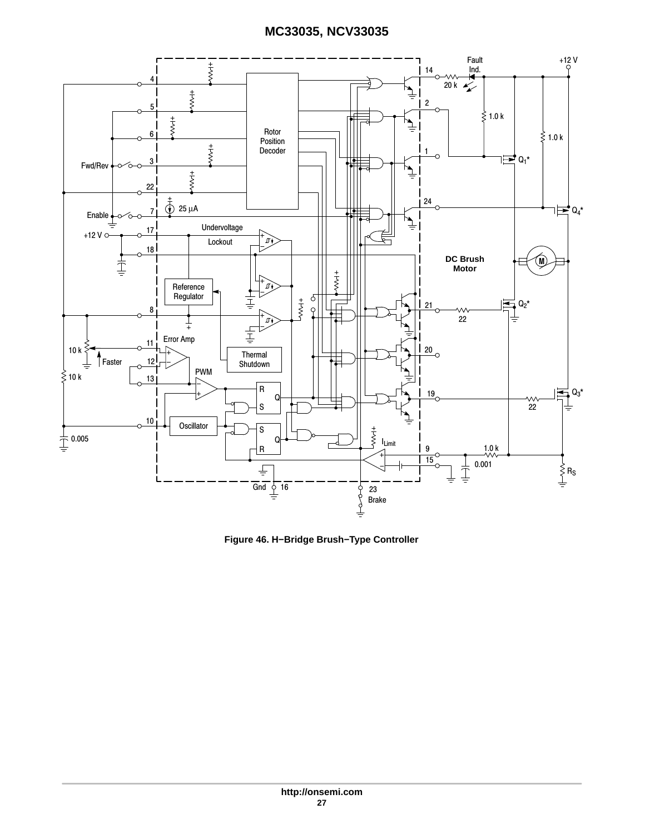<span id="page-26-0"></span>

**Figure 46. H−Bridge Brush−Type Controller**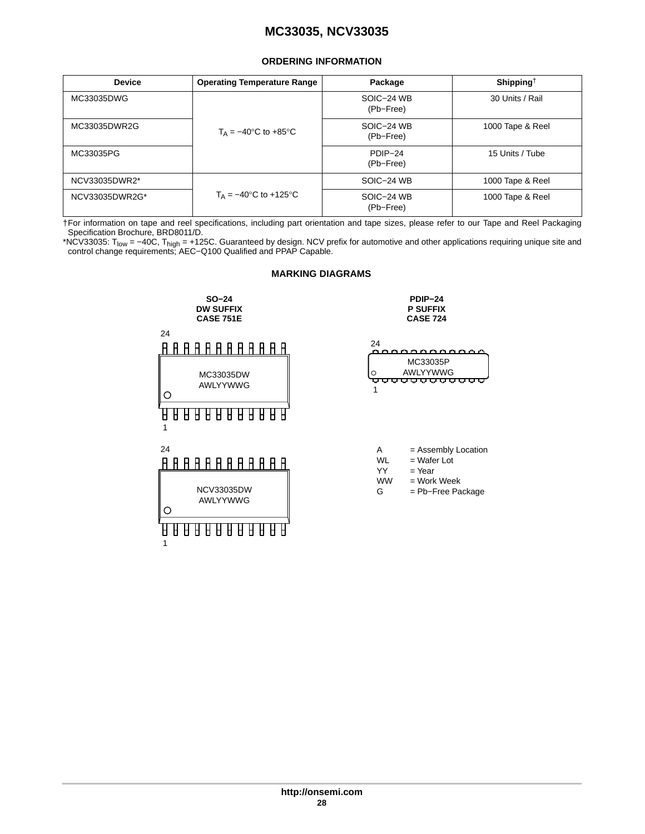#### **ORDERING INFORMATION**

<span id="page-27-0"></span>

| <b>Device</b>  | <b>Operating Temperature Range</b>                 | Package                 | Shipping <sup>†</sup> |
|----------------|----------------------------------------------------|-------------------------|-----------------------|
| MC33035DWG     |                                                    | SOIC-24 WB<br>(Pb-Free) | 30 Units / Rail       |
| MC33035DWR2G   | $T_A = -40^\circ \text{C}$ to $+85^\circ \text{C}$ | SOIC-24 WB<br>(Pb-Free) | 1000 Tape & Reel      |
| MC33035PG      |                                                    | PDIP-24<br>(Pb-Free)    | 15 Units / Tube       |
| NCV33035DWR2*  |                                                    | SOIC-24 WB              | 1000 Tape & Reel      |
| NCV33035DWR2G* | $T_A = -40$ °C to +125°C                           | SOIC-24 WB<br>(Pb-Free) | 1000 Tape & Reel      |

†For information on tape and reel specifications, including part orientation and tape sizes, please refer to our Tape and Reel Packaging Specification Brochure, BRD8011/D.

\*NCV33035: T<sub>low</sub> = –40C, T<sub>high</sub> = +125C. Guaranteed by design. NCV prefix for automotive and other applications requiring unique site and<br>control change requirements; AEC–Q100 Qualified and PPAP Capable.

#### **MARKING DIAGRAMS SO−24 PDIP−24 DW SUFFIX P SUFFIX CASE 751E CASE 724** 24  $24$ <u> A A A A A A A A A A A A A </u> coccoccoc MC33035P AWLYYWWG<br><del>ሁሁሁሁሁሁሁሁሁ</del> MC33035DW O AWLYYWWG 1  $\circ$ <u> A A A A A A A A A A A A</u> 1 24 A = Assembly Location  $WL$  = Wafer Lot YY = Year<br>WW = Work = Work Week NCV33035DW G = Pb−Free Package AWLYYWWG $\circ$ 1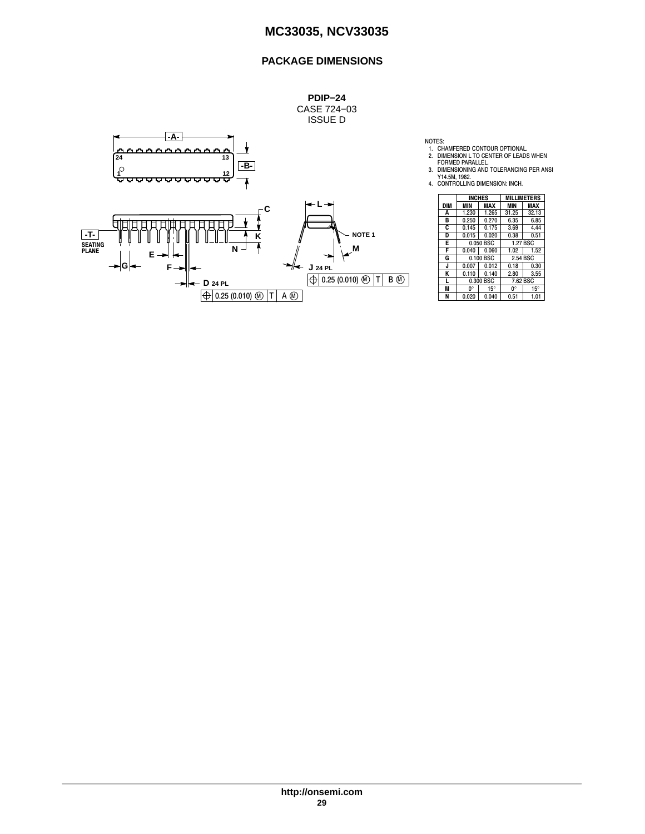## **PACKAGE DIMENSIONS**



|            | <b>INCHES</b> |            | <b>MILLIMETERS</b> |            |
|------------|---------------|------------|--------------------|------------|
| <b>DIM</b> | MIN           | MAX        | MIN                | MAX        |
| Α          | 1.230         | 1.265      | 31.25              | 32.13      |
| в          | 0.250         | 0.270      | 6.35               | 6.85       |
| C          | 0.145         | 0.175      | 3.69               | 4.44       |
| D          | 0.015         | 0.020      | 0.38               | 0.51       |
| E          | 0.050 BSC     |            | 1.27 BSC           |            |
| F          | 0.040         | 0.060      | 1.02               | 1.52       |
| G          | 0.100 BSC     |            | 2.54 BSC           |            |
| J          | 0.007         | 0.012      | 0.18               | 0.30       |
| ĸ          | 0.110         | 0.140      | 2.80               | 3.55       |
| L          | 0.300 BSC     |            | 7.62 BSC           |            |
| M          | 0°            | $15^\circ$ | 0°                 | $15^\circ$ |
| N          | 0.020         | 0.040      | 0.51               | 1.01       |